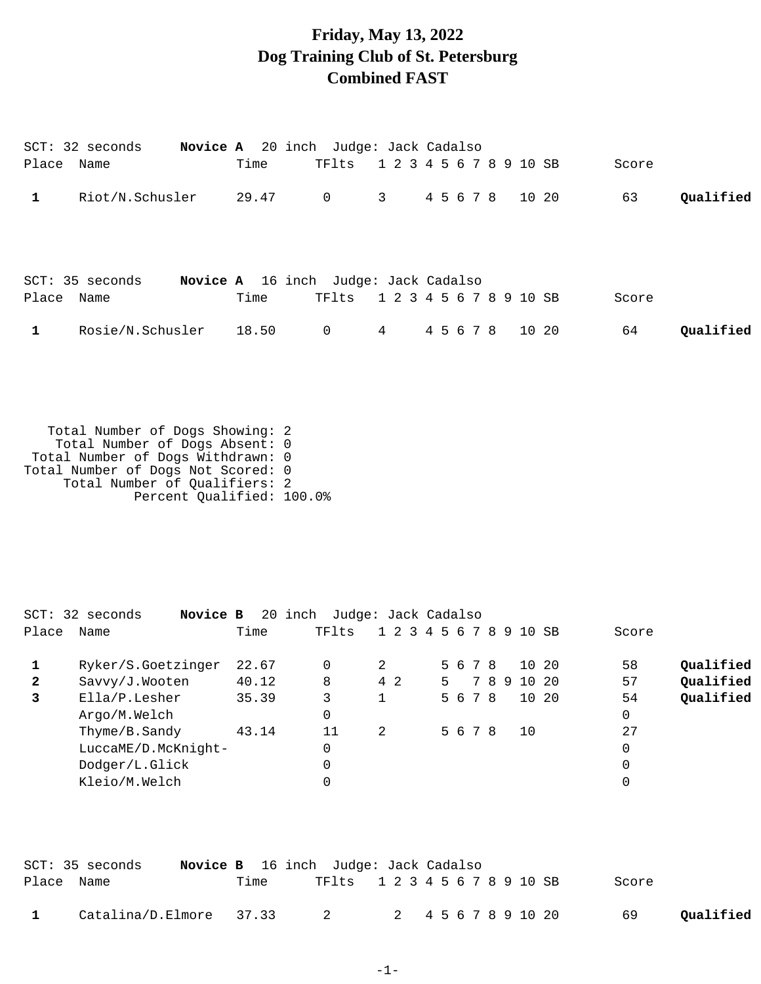## **Friday, May 13, 2022 Dog Training Club of St. Petersburg Combined FAST**

|            | $SCT: 32$ seconds |       | <b>Novice A</b> 20 inch Judge: Jack Cadalso |             |           |                         |       |           |
|------------|-------------------|-------|---------------------------------------------|-------------|-----------|-------------------------|-------|-----------|
| Place      | Name              | Time  | TFlts                                       |             |           | 1 2 3 4 5 6 7 8 9 10 SB | Score |           |
| 1          | Riot/N.Schusler   | 29.47 | $\overline{0}$                              | $3^{\circ}$ |           | 4 5 6 7 8 10 20         | 63    | Qualified |
|            | SCT: 35 seconds   |       | Novice A 16 inch Judge: Jack Cadalso        |             |           |                         |       |           |
| Place Name |                   | Time  | TFlts                                       |             |           |                         | Score |           |
| 1          | Rosie/N.Schusler  | 18.50 | $\mathbf 0$                                 | 4           | 4 5 6 7 8 | 10 20                   | 64    | Qualified |
|            |                   |       |                                             |             |           | 1 2 3 4 5 6 7 8 9 10 SB |       |           |

 Total Number of Dogs Showing: 2 Total Number of Dogs Absent: 0 Total Number of Dogs Withdrawn: 0 Total Number of Dogs Not Scored: 0 Total Number of Qualifiers: 2 Percent Qualified: 100.0%

|              | SCT: 32 seconds<br>Novice B |       | 20 inch Judge: Jack Cadalso |                         |    |         |    |   |       |       |       |           |
|--------------|-----------------------------|-------|-----------------------------|-------------------------|----|---------|----|---|-------|-------|-------|-----------|
| Place        | Name                        | Time  | TFlts                       | 1 2 3 4 5 6 7 8 9 10 SB |    |         |    |   |       |       | Score |           |
|              | Ryker/S.Goetzinger          | 22.67 | 0                           | 2                       |    | 5 6 7 8 |    |   | 10 20 |       | 58    | Qualified |
| $\mathbf{2}$ | Savvy/J.Wooten              | 40.12 | 8                           | 4 2                     | 5. |         | 78 | 9 | 10 20 |       | 57    | Qualified |
| 3            | Ella/P.Lesher               | 35.39 | 3                           |                         |    | 5 6 7 8 |    |   |       | 10 20 | 54    | Qualified |
|              | Argo/M.Welch                |       | 0                           |                         |    |         |    |   |       |       | 0     |           |
|              | Thyme/B.Sandy               | 43.14 | 11                          | 2                       |    | 5 6 7 8 |    |   | 10    |       | 27    |           |
|              | LuccaME/D.McKnight-         |       | 0                           |                         |    |         |    |   |       |       | 0     |           |
|              | Dodger/L.Glick              |       |                             |                         |    |         |    |   |       |       | 0     |           |
|              | Kleio/M.Welch               |       |                             |                         |    |         |    |   |       |       | 0     |           |
|              |                             |       |                             |                         |    |         |    |   |       |       |       |           |

|              | SCT: 35 seconds                                        |      | <b>Novice B</b> 16 inch Judge: Jack Cadalso |  |       |           |
|--------------|--------------------------------------------------------|------|---------------------------------------------|--|-------|-----------|
| Place Name   |                                                        | Time | TF1ts 1 2 3 4 5 6 7 8 9 10 SB               |  | Score |           |
| $\mathbf{1}$ | $\text{Catalina/D.Elmore}$ 37.33 2 2 4 5 6 7 8 9 10 20 |      |                                             |  | 69    | Qualified |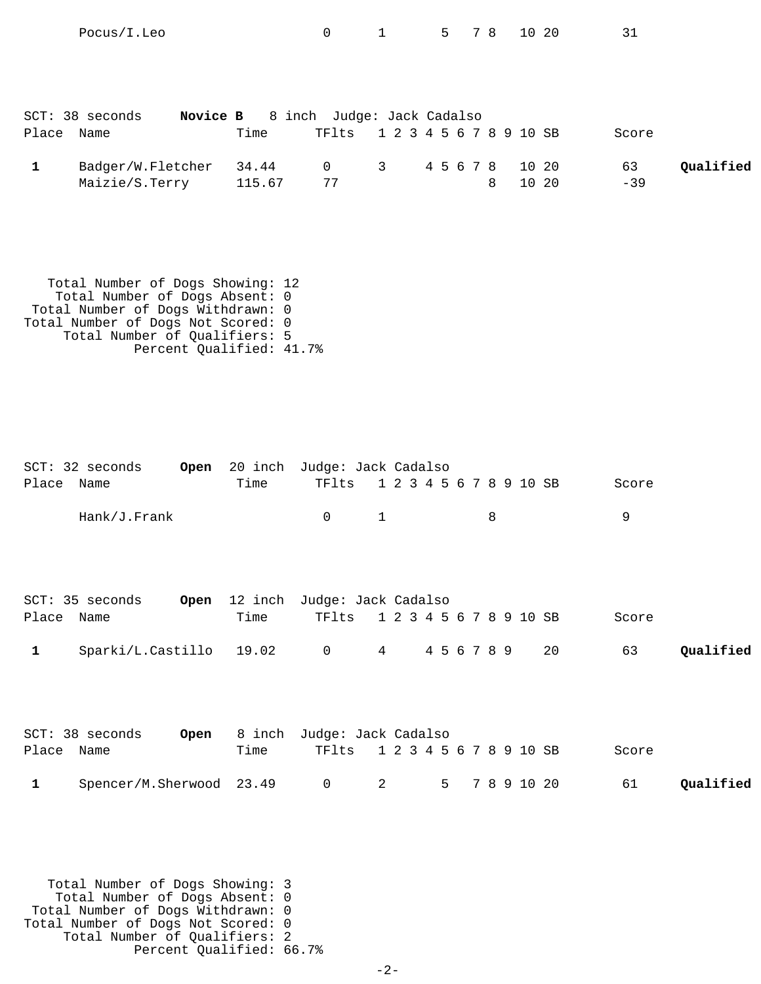| Place | SCT: 38 seconds<br>Novice B<br>Name | Time            | 8 inch Judge: Jack Cadalso<br>TF1ts 1 2 3 4 5 6 7 8 9 10 SB |                   |   |       | Score       |           |
|-------|-------------------------------------|-----------------|-------------------------------------------------------------|-------------------|---|-------|-------------|-----------|
| 1     | Badger/W.Fletcher<br>Maizie/S.Terry | 34.44<br>115.67 | $\overline{0}$<br>77                                        | 3 4 5 6 7 8 10 20 | 8 | 10 20 | 63<br>$-39$ | Qualified |

Pocus/I.Leo 0 1 5 7 8 10 20 31

 Total Number of Dogs Showing: 12 Total Number of Dogs Absent: 0 Total Number of Dogs Withdrawn: 0 Total Number of Dogs Not Scored: 0 Total Number of Qualifiers: 5 Percent Qualified: 41.7%

|       | $SCT: 32$ seconds         | Open |       | 20 inch Judge: Jack Cadalso         |                         |             |   |             |    |       |           |
|-------|---------------------------|------|-------|-------------------------------------|-------------------------|-------------|---|-------------|----|-------|-----------|
| Place | Name                      |      | Time  | TFlts                               | 1 2 3 4 5 6 7 8 9 10 SB |             |   |             |    | Score |           |
|       | Hank/J.Frank              |      |       | $\mathbf 0$                         | $\mathbf{1}$            |             | 8 |             |    | 9     |           |
|       | SCT: 35 seconds           | Open |       | 12 inch Judge: Jack Cadalso         |                         |             |   |             |    |       |           |
| Place | Name                      |      | Time  | TFlts                               | 1 2 3 4 5 6 7 8 9 10 SB |             |   |             |    | Score |           |
| 1     | Sparki/L.Castillo         |      | 19.02 | $\overline{0}$                      | $4\degree$              | 4 5 6 7 8 9 |   |             | 20 | 63    | Qualified |
| Place | $SCT: 38$ seconds<br>Name | Open | Time  | 8 inch Judge: Jack Cadalso<br>TFlts | 1 2 3 4 5 6 7 8 9 10 SB |             |   |             |    | Score |           |
| 1     | Spencer/M.Sherwood 23.49  |      |       | $\mathbf 0$                         | 2                       | 5           |   | 7 8 9 10 20 |    | 61    | Qualified |

 Total Number of Dogs Showing: 3 Total Number of Dogs Absent: 0 Total Number of Dogs Withdrawn: 0 Total Number of Dogs Not Scored: 0 Total Number of Qualifiers: 2 Percent Qualified: 66.7%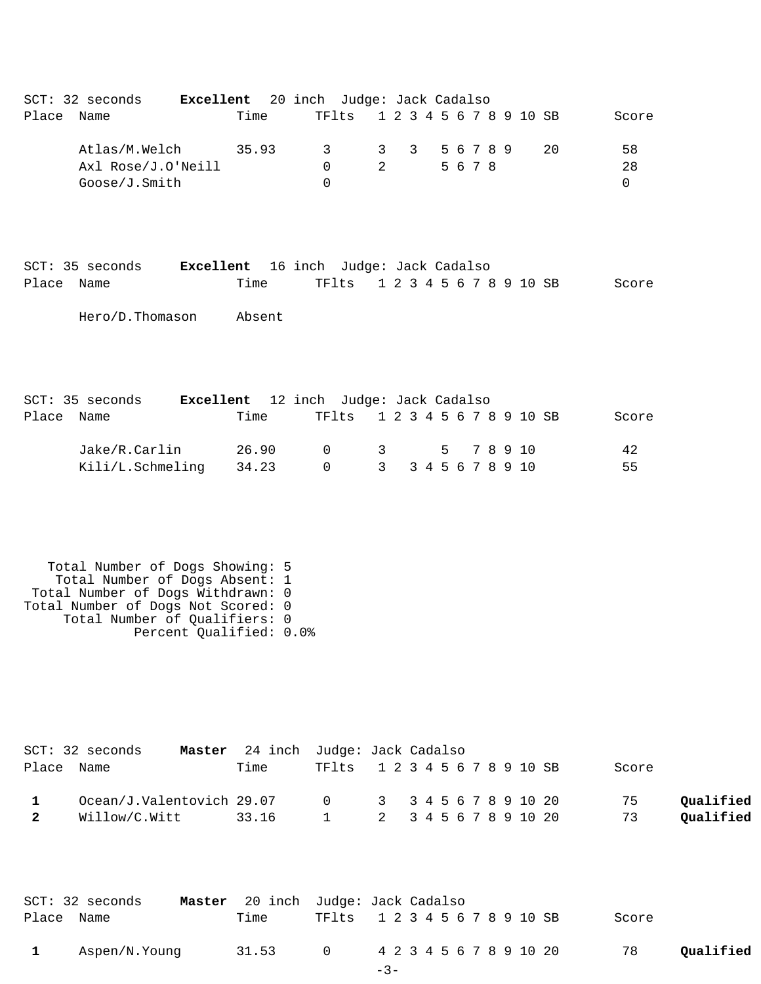| Qualified<br>Qualified |
|------------------------|
|                        |

|            | SCT: 32 seconds |       | Master 20 inch Judge: Jack Cadalso |                               |  |  |  |       |           |
|------------|-----------------|-------|------------------------------------|-------------------------------|--|--|--|-------|-----------|
| Place Name |                 | Time  |                                    | TF1ts 1 2 3 4 5 6 7 8 9 10 SB |  |  |  | Score |           |
|            | Aspen/N.Young   | 31.53 |                                    | 0 4 2 3 4 5 6 7 8 9 10 20     |  |  |  | 78    | Qualified |
|            |                 |       |                                    | $-3-$                         |  |  |  |       |           |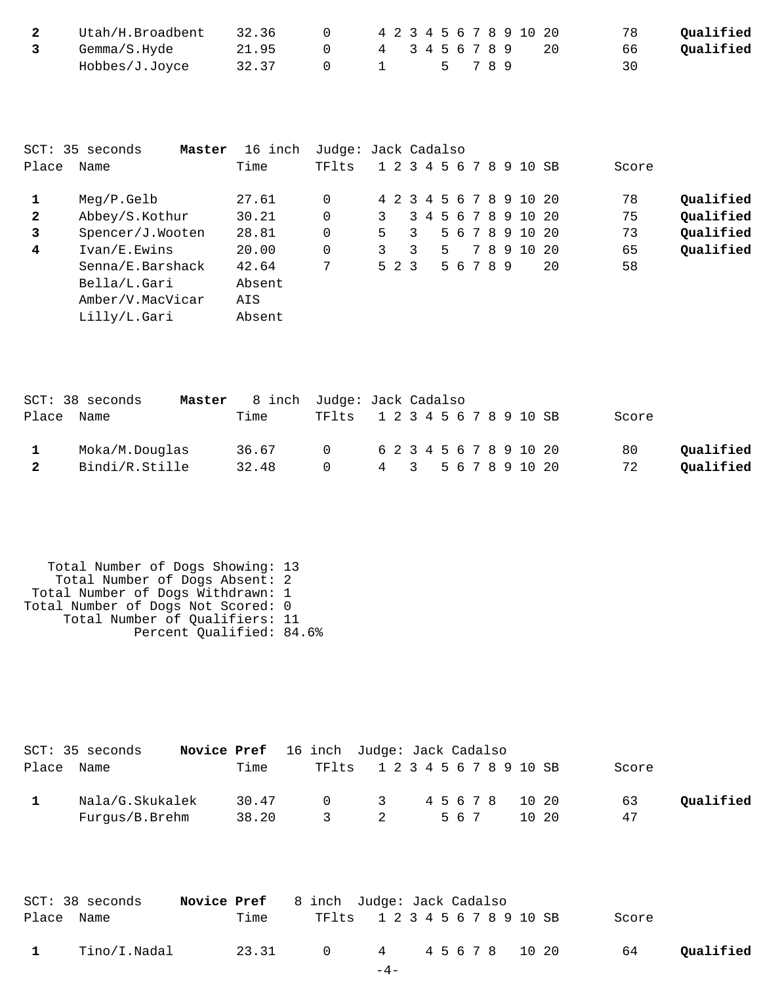| Utah/H.Broadbent | 32.36 | 4 2 3 4 5 6 7 8 9 10 20 |  |      |  |  |  | 78 | Qualified |
|------------------|-------|-------------------------|--|------|--|--|--|----|-----------|
| Gemma/S.Hyde     | 21.95 | 4 3 4 5 6 7 8 9         |  |      |  |  |  | 66 | Oualified |
| Hobbes/J.Joyce   | 32.37 |                         |  | 5789 |  |  |  | 30 |           |

|              | SCT: 35 seconds<br>Master | 16 inch | Judge: Jack Cadalso |    |       |   |    |           |  |                         |      |       |           |
|--------------|---------------------------|---------|---------------------|----|-------|---|----|-----------|--|-------------------------|------|-------|-----------|
| Place        | Name                      | Time    | TF1ts               |    |       |   |    |           |  | 1 2 3 4 5 6 7 8 9 10 SB |      | Score |           |
|              | $Meq/P$ . Gelb            | 27.61   | $\Omega$            |    |       |   |    |           |  | 4 2 3 4 5 6 7 8 9 10 20 |      | 78    | Qualified |
| $\mathbf{2}$ | Abbey/S.Kothur            | 30.21   | 0                   | 3  |       |   |    |           |  | 3 4 5 6 7 8 9 10 20     |      | 75    | Qualified |
| 3            | Spencer/J.Wooten          | 28.81   | 0                   | 5. |       | 3 |    |           |  | 5 6 7 8 9 10 20         |      | 73    | Qualified |
| 4            | Ivan/E.Ewins              | 20.00   | $\Omega$            | 3  |       | २ | 5. |           |  | 7 8 9 10                | - 20 | 65    | Qualified |
|              | Senna/E.Barshack          | 42.64   | 7                   |    | 5 2 3 |   |    | 5 6 7 8 9 |  |                         | 20   | 58    |           |
|              | Bella/L.Gari              | Absent  |                     |    |       |   |    |           |  |                         |      |       |           |
|              | Amber/V.MacVicar          | AIS     |                     |    |       |   |    |           |  |                         |      |       |           |
|              | Lilly/L.Gari              | Absent  |                     |    |       |   |    |           |  |                         |      |       |           |

|              | SCT: 38 seconds | Master 8 inch Judge: Jack Cadalso |                               |  |  |                           |       |           |
|--------------|-----------------|-----------------------------------|-------------------------------|--|--|---------------------------|-------|-----------|
|              | Place Name      | Time                              | TF1ts 1 2 3 4 5 6 7 8 9 10 SB |  |  |                           | Score |           |
|              | Moka/M.Douglas  | 36.67                             |                               |  |  | 0 6 2 3 4 5 6 7 8 9 10 20 | 80    | Oualified |
| $\mathbf{2}$ | Bindi/R.Stille  | 32.48                             | $\cap$                        |  |  | 4 3 5 6 7 8 9 10 20       | 72    | Qualified |

 Total Number of Dogs Showing: 13 Total Number of Dogs Absent: 2 Total Number of Dogs Withdrawn: 1 Total Number of Dogs Not Scored: 0 Total Number of Qualifiers: 11 Percent Qualified: 84.6%

|       | SCT: 35 seconds | <b>Novice Pref</b> 16 inch Judge: Jack Cadalso |               |                               |  |     |            |       |       |           |
|-------|-----------------|------------------------------------------------|---------------|-------------------------------|--|-----|------------|-------|-------|-----------|
| Place | Name            | Time                                           |               | TF1ts 1 2 3 4 5 6 7 8 9 10 SB |  |     |            |       | Score |           |
|       | Nala/G.Skukalek | 30.47                                          | $\cap$        | - 3                           |  |     | 45678 1020 |       | 63    | Oualified |
|       | Furqus/B.Brehm  | 38.20                                          | $\mathcal{R}$ |                               |  | 567 |            | 10 20 | 47    |           |

| SCT: 38 seconds | <b>Novice Pref</b> 8 inch Judge: Jack Cadalso |                      |                               |       |  |  |  |  |  |       |           |
|-----------------|-----------------------------------------------|----------------------|-------------------------------|-------|--|--|--|--|--|-------|-----------|
| Place Name      |                                               | Time                 | TF1ts 1 2 3 4 5 6 7 8 9 10 SB |       |  |  |  |  |  | Score |           |
| Tino/I.Nadal    |                                               | 23.31 0 4 45678 1020 |                               |       |  |  |  |  |  | 64    | Oualified |
|                 |                                               |                      |                               | $-4-$ |  |  |  |  |  |       |           |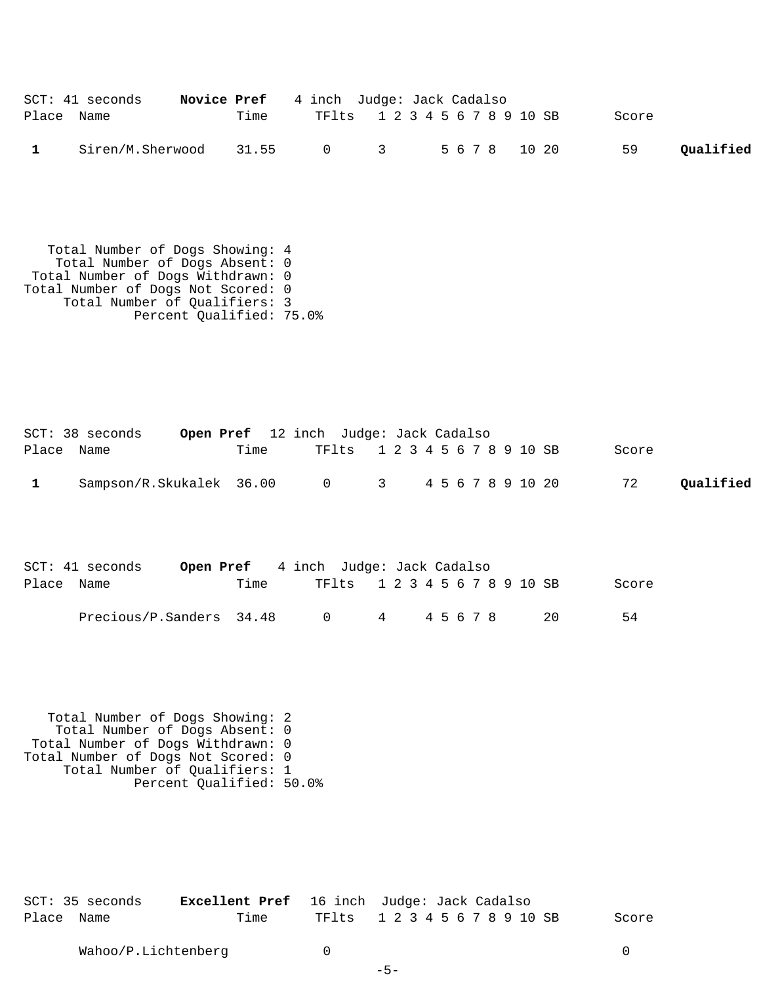|            | $SCT: 41$ seconds                    | <b>Novice Pref</b> 4 inch Judge: Jack Cadalso |                               |  |  |       |           |
|------------|--------------------------------------|-----------------------------------------------|-------------------------------|--|--|-------|-----------|
| Place Name |                                      | Time                                          | TF1ts 1 2 3 4 5 6 7 8 9 10 SB |  |  | Score |           |
|            | Siren/M.Sherwood 31.55 0 3 5678 1020 |                                               |                               |  |  | 59    | Qualified |

 Total Number of Dogs Showing: 4 Total Number of Dogs Absent: 0 Total Number of Dogs Withdrawn: 0 Total Number of Dogs Not Scored: 0 Total Number of Qualifiers: 3 Percent Qualified: 75.0%

|            | SCT: 38 seconds          |      | <b>Open Pref</b> 12 inch Judge: Jack Cadalso |  |  |  |  |  |       |           |
|------------|--------------------------|------|----------------------------------------------|--|--|--|--|--|-------|-----------|
| Place Name |                          | Time | TF1ts 1 2 3 4 5 6 7 8 9 10 SB                |  |  |  |  |  | Score |           |
|            | Sampson/R.Skukalek 36.00 |      | 0 3 4 5 6 7 8 9 10 20                        |  |  |  |  |  | 72    | Qualified |

|            | $SCT: 41$ seconds        | <b>Open Pref</b> 4 inch Judge: Jack Cadalso |        |                               |         |  |  |  |  |     |       |
|------------|--------------------------|---------------------------------------------|--------|-------------------------------|---------|--|--|--|--|-----|-------|
| Place Name |                          | Time                                        |        | TF1ts 1 2 3 4 5 6 7 8 9 10 SB |         |  |  |  |  |     | Score |
|            | Precious/P.Sanders 34.48 |                                             | $\cap$ |                               | 4 45678 |  |  |  |  | -20 | 54    |

 Total Number of Dogs Showing: 2 Total Number of Dogs Absent: 0 Total Number of Dogs Withdrawn: 0 Total Number of Dogs Not Scored: 0 Total Number of Qualifiers: 1 Percent Qualified: 50.0%

| SCT: 35 seconds |      | <b>Excellent Pref</b> 16 inch Judge: Jack Cadalso |       |
|-----------------|------|---------------------------------------------------|-------|
| Place Name      | Time | TF1ts 1 2 3 4 5 6 7 8 9 10 SB                     | Score |

-5-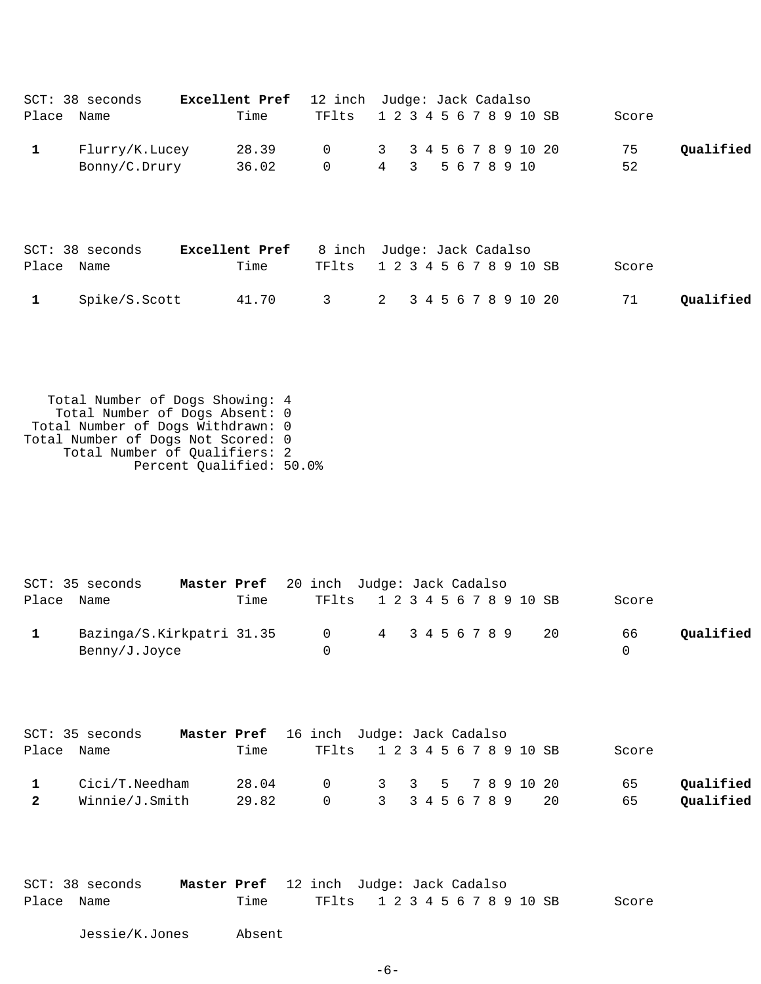| Place Name                  | SCT: 38 seconds                                                                                                                                                                                           | Excellent Pref<br>Time | 12 inch Judge: Jack Cadalso<br>TFlts |                     |   |                    |  | 1 2 3 4 5 6 7 8 9 10 SB             |    | Score    |                        |
|-----------------------------|-----------------------------------------------------------------------------------------------------------------------------------------------------------------------------------------------------------|------------------------|--------------------------------------|---------------------|---|--------------------|--|-------------------------------------|----|----------|------------------------|
| $\mathbf 1$                 | Flurry/K.Lucey<br>Bonny/C.Drury                                                                                                                                                                           | 28.39<br>36.02         | 0<br>0                               | 3<br>$\overline{4}$ | 3 |                    |  | 3 4 5 6 7 8 9 10 20<br>5 6 7 8 9 10 |    | 75<br>52 | Qualified              |
| Place Name                  | SCT: 38 seconds                                                                                                                                                                                           | Excellent Pref<br>Time | 8 inch Judge: Jack Cadalso<br>TFlts  |                     |   |                    |  | 1 2 3 4 5 6 7 8 9 10 SB             |    | Score    |                        |
| 1                           | Spike/S.Scott                                                                                                                                                                                             | 41.70                  | $\mathsf{3}$                         | $\overline{a}$      |   |                    |  | 3 4 5 6 7 8 9 10 20                 |    | 71       | Qualified              |
|                             | Total Number of Dogs Showing: 4<br>Total Number of Dogs Absent: 0<br>Total Number of Dogs Withdrawn: 0<br>Total Number of Dogs Not Scored: 0<br>Total Number of Qualifiers: 2<br>Percent Qualified: 50.0% |                        |                                      |                     |   |                    |  |                                     |    |          |                        |
| Place Name                  | SCT: 35 seconds<br>Master Pref                                                                                                                                                                            | Time                   | 20 inch Judge: Jack Cadalso<br>TFlts |                     |   |                    |  | 1 2 3 4 5 6 7 8 9 10 SB             |    | Score    |                        |
| 1                           | Bazinga/S.Kirkpatri 31.35<br>Benny/J.Joyce                                                                                                                                                                |                        | 0<br>0                               | 4                   |   | 3 4 5 6 7 8 9      |  |                                     | 20 | 66<br>0  | Qualified              |
| Place                       | SCT: 35 seconds<br>Master Pref<br>Name                                                                                                                                                                    | Time                   | 16 inch Judge: Jack Cadalso<br>TFlts |                     |   |                    |  | 1 2 3 4 5 6 7 8 9 10 SB             |    | Score    |                        |
| $\mathbf 1$<br>$\mathbf{2}$ | Cici/T.Needham<br>Winnie/J.Smith                                                                                                                                                                          | 28.04<br>29.82         | 0<br>0                               | 3<br>$\mathbf{3}$   | 3 | 5<br>3 4 5 6 7 8 9 |  | 7 8 9 10 20                         | 20 | 65<br>65 | Qualified<br>Qualified |
|                             |                                                                                                                                                                                                           |                        |                                      |                     |   |                    |  |                                     |    |          |                        |

|            | SCT: 38 seconds | Master Pref 12 inch Judge: Jack Cadalso |      |                     |  |  |  |  |  |  |       |
|------------|-----------------|-----------------------------------------|------|---------------------|--|--|--|--|--|--|-------|
| Place Name |                 |                                         | Time | TF1ts 12345678910SB |  |  |  |  |  |  | Score |

Jessie/K.Jones Absent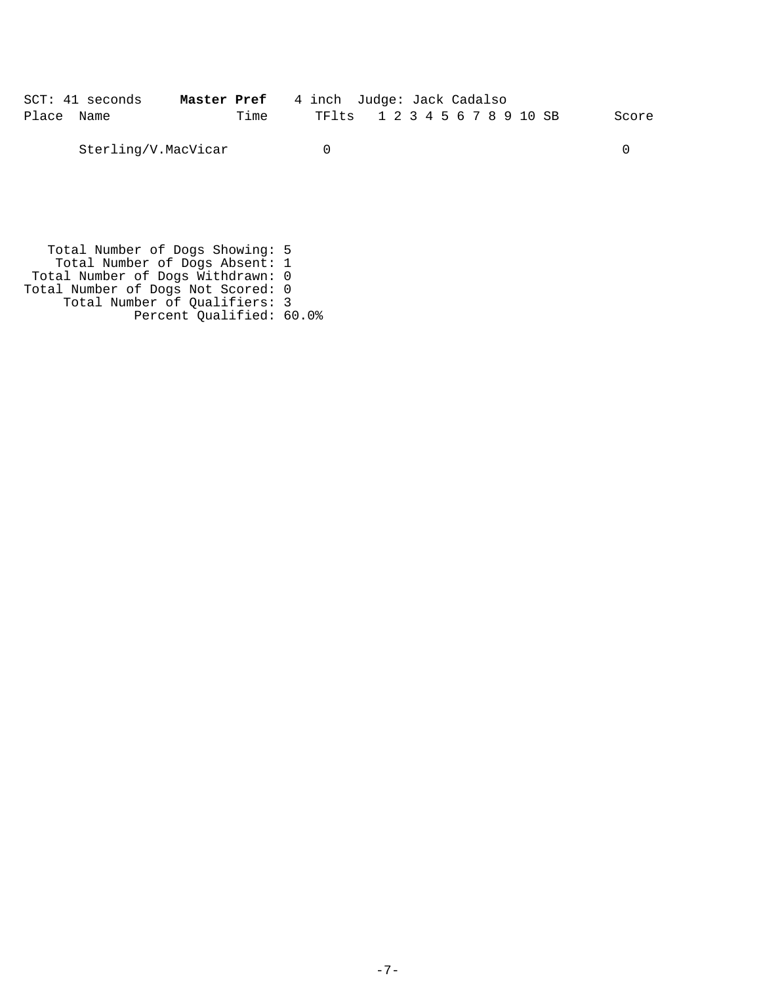|            | $SCT: 41$ seconds   | <b>Master Pref</b> 4 inch Judge: Jack Cadalso |  |                               |  |       |
|------------|---------------------|-----------------------------------------------|--|-------------------------------|--|-------|
| Place Name |                     | Time                                          |  | TF1ts 1 2 3 4 5 6 7 8 9 10 SB |  | Score |
|            | Sterling/V.MacVicar |                                               |  |                               |  |       |

 Total Number of Dogs Showing: 5 Total Number of Dogs Absent: 1 Total Number of Dogs Withdrawn: 0 Total Number of Dogs Not Scored: 0 Total Number of Qualifiers: 3 Percent Qualified: 60.0%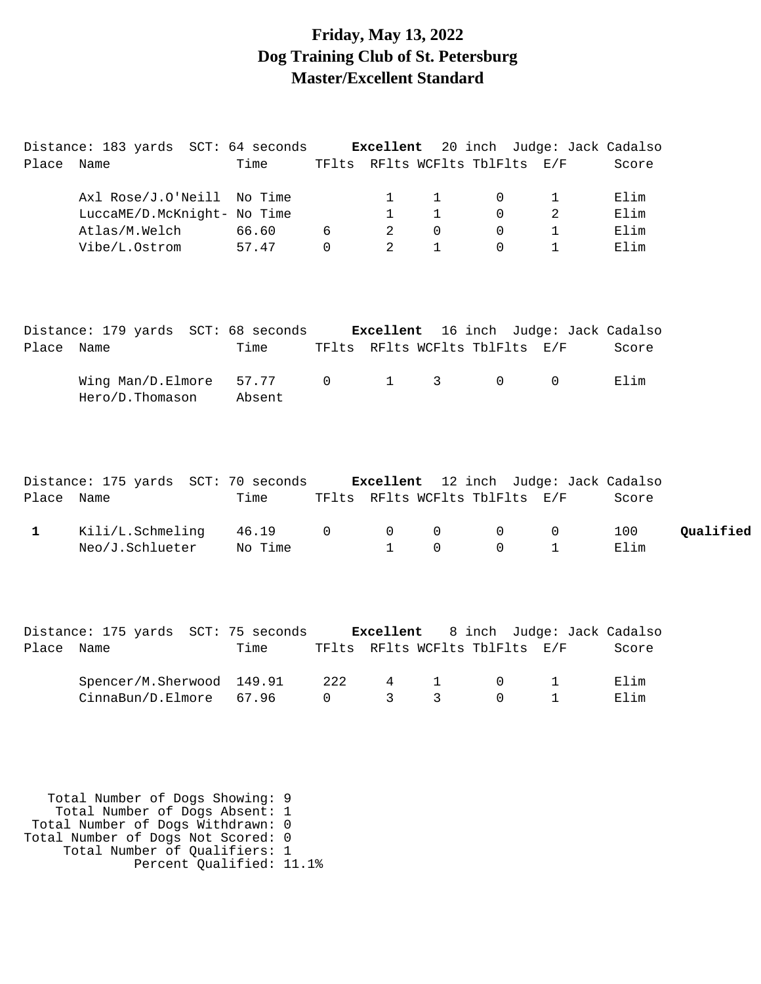#### **Friday, May 13, 2022 Dog Training Club of St. Petersburg Master/Excellent Standard**

|              | Distance: 183 yards SCT: 64 seconds Excellent 20 inch Judge: Jack Cadalso |                 |                |                |              |                                                               |                |       |           |
|--------------|---------------------------------------------------------------------------|-----------------|----------------|----------------|--------------|---------------------------------------------------------------|----------------|-------|-----------|
| Place Name   |                                                                           | Time            |                |                |              | TFlts RFlts WCFlts TblFlts E/F                                |                | Score |           |
|              | Axl Rose/J.O'Neill No Time                                                |                 |                | 1              | $\mathbf{1}$ | 0                                                             | $\mathbf 1$    | Elim  |           |
|              | LuccaME/D.McKnight- No Time                                               |                 |                | $\mathbf{1}$   | $\mathbf{1}$ | 0                                                             | $\overline{2}$ | Elim  |           |
|              | Atlas/M.Welch                                                             | 66.60           | 6              | 2              | $\Omega$     | $\Omega$                                                      | $\mathbf 1$    | Elim  |           |
|              | Vibe/L.Ostrom                                                             | 57.47           | $\Omega$       | $\overline{2}$ | $\mathbf{1}$ | $\Omega$                                                      | $\mathbf{1}$   | Elim  |           |
|              | Distance: 179 yards SCT: 68 seconds Excellent 16 inch Judge: Jack Cadalso |                 |                |                |              |                                                               |                |       |           |
| Place Name   |                                                                           | Time            |                |                |              | TFlts RFlts WCFlts TblFlts E/F                                |                | Score |           |
|              | Wing Man/D.Elmore<br>Hero/D.Thomason                                      | 57.77<br>Absent | $\overline{0}$ | $\mathbf{1}$   | $\mathsf{3}$ | $\mathsf{O}$                                                  | 0              | Elim  |           |
| Place Name   | Distance: 175 yards SCT: 70 seconds Excellent                             | Time            |                |                |              | 12 inch Judge: Jack Cadalso<br>TFlts RFlts WCFlts TblFlts E/F |                | Score |           |
| $\mathbf{1}$ | Kili/L.Schmeling                                                          | 46.19           | $\mathbf 0$    | 0              | $\mathbf{0}$ | 0                                                             | 0              | 100   | Qualified |
|              | Neo/J.Schlueter                                                           | No Time         |                | $\mathbf{1}$   | $\Omega$     | $\Omega$                                                      | $\mathbf{1}$   | Elim  |           |
|              |                                                                           |                 |                |                |              |                                                               |                |       |           |
|              | Distance: 175 yards SCT: 75 seconds Excellent                             |                 |                |                |              | 8 inch Judge: Jack Cadalso                                    |                |       |           |
| Place Name   |                                                                           | Time            |                |                |              | TFlts RFlts WCFlts TblFlts E/F                                |                | Score |           |
|              | Spencer/M.Sherwood                                                        | 149.91          | 222            | 4              | $\mathbf 1$  | 0                                                             | $\mathbf{1}$   | Elim  |           |
|              | CinnaBun/D.Elmore                                                         | 67.96           | $\Omega$       | 3              | 3            | $\Omega$                                                      | $\mathbf{1}$   | Elim  |           |
|              |                                                                           |                 |                |                |              |                                                               |                |       |           |

 Total Number of Dogs Showing: 9 Total Number of Dogs Absent: 1 Total Number of Dogs Withdrawn: 0 Total Number of Dogs Not Scored: 0 Total Number of Qualifiers: 1 Percent Qualified: 11.1%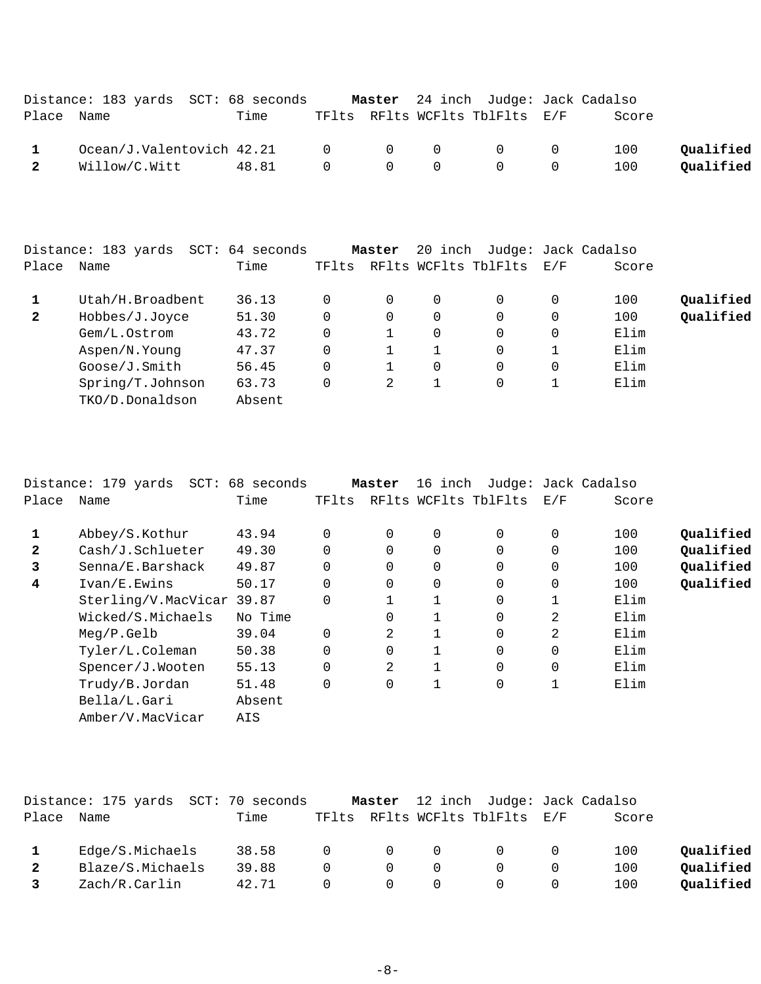|                         | Distance: 183 yards SCT: 68 seconds     |       |  | Master 24 inch Judge: Jack Cadalso              |       |           |
|-------------------------|-----------------------------------------|-------|--|-------------------------------------------------|-------|-----------|
| Place Name              |                                         | Time  |  | TFlts RFlts WCFlts TblFlts E/F                  | Score |           |
| $\mathbf{1}$            | $Ocean/J.Valentovich$ 42.21 0 0 0 0 0 0 |       |  |                                                 | 100   | Oualified |
| $\overline{\mathbf{2}}$ | Willow/C.Witt                           | 48.81 |  | $\begin{matrix} 0 & 0 & 0 & 0 & 0 \end{matrix}$ | 100   | Qualified |

|              | Distance: 183 yards<br>SCT: | 64 seconds |       | Master   | 20 inch |                      |     | Judge: Jack Cadalso |           |
|--------------|-----------------------------|------------|-------|----------|---------|----------------------|-----|---------------------|-----------|
| Place        | Name                        | Time       | TFlts |          |         | RFlts WCFlts TblFlts | E/F | Score               |           |
|              | Utah/H.Broadbent            | 36.13      |       | $\Omega$ | 0       | $\Omega$             | 0   | 100                 | Qualified |
| $\mathbf{2}$ | Hobbes/J.Joyce              | 51.30      | 0     | $\Omega$ | 0       | 0                    | 0   | 100                 | Qualified |
|              | Gem/L.Ostrom                | 43.72      |       |          | 0       | $\Omega$             | 0   | Elim                |           |
|              | Aspen/N.Young               | 47.37      | 0     |          |         | 0                    |     | Elim                |           |
|              | Goose/J.Smith               | 56.45      | 0     | 1        | 0       | $\Omega$             | 0   | Elim                |           |
|              | Spring/T.Johnson            | 63.73      |       | 2        |         | 0                    |     | Elim                |           |
|              | TKO/D.Donaldson             | Absent     |       |          |         |                      |     |                     |           |
|              |                             |            |       |          |         |                      |     |                     |           |

|              | Distance: 179 yards SCT: 68 seconds |         |             | Master   | 16 inch     |                      | Judge: Jack Cadalso |       |           |
|--------------|-------------------------------------|---------|-------------|----------|-------------|----------------------|---------------------|-------|-----------|
| Place        | Name                                | Time    | TFlts       |          |             | RFlts WCFlts TblFlts | E/F                 | Score |           |
| 1            |                                     |         |             |          |             |                      |                     |       | Oualified |
|              | Abbey/S.Kothur                      | 43.94   | $\mathbf 0$ | 0        | $\mathbf 0$ | 0                    | 0                   | 100   |           |
| $\mathbf{2}$ | Cash/J.Schlueter                    | 49.30   | $\Omega$    | $\Omega$ | $\mathbf 0$ | $\Omega$             | $\Omega$            | 100   | Qualified |
| 3            | Senna/E.Barshack                    | 49.87   | 0           | 0        | $\mathbf 0$ | 0                    | 0                   | 100   | Qualified |
| 4            | Ivan/E.Ewins                        | 50.17   | $\Omega$    | $\Omega$ | $\mathbf 0$ | $\Omega$             | $\Omega$            | 100   | Qualified |
|              | Sterling/V.MacVicar 39.87           |         | $\Omega$    |          |             | 0                    |                     | Elim  |           |
|              | Wicked/S.Michaels                   | No Time |             | 0        |             | $\Omega$             | 2                   | Elim  |           |
|              | Meq/P.Gelb                          | 39.04   | $\mathbf 0$ | 2        |             | 0                    | 2                   | Elim  |           |
|              | Tyler/L.Coleman                     | 50.38   | $\Omega$    | 0        |             | $\Omega$             | $\Omega$            | Elim  |           |
|              | Spencer/J.Wooten                    | 55.13   | $\Omega$    | 2        |             | $\Omega$             | $\Omega$            | Elim  |           |
|              | Trudy/B.Jordan                      | 51.48   | $\Omega$    | 0        | 1           | 0                    | 1                   | Elim  |           |
|              | Bella/L.Gari                        | Absent  |             |          |             |                      |                     |       |           |
|              | Amber/V.MacVicar                    | AIS     |             |          |             |                      |                     |       |           |

|              | Distance: 175 yards SCT: 70 seconds |       |          | Master         |                | 12 inch Judge: Jack Cadalso    |   |       |           |
|--------------|-------------------------------------|-------|----------|----------------|----------------|--------------------------------|---|-------|-----------|
| Place        | Name                                | Time  |          |                |                | TFlts RFlts WCFlts TblFlts E/F |   | Score |           |
|              | Edge/S.Michaels                     | 38.58 | $\Omega$ | $\overline{0}$ | $\Omega$       | $\Omega$                       |   | 100   | Qualified |
| $\mathbf{2}$ | Blaze/S.Michaels                    | 39.88 | $\Omega$ | $\Omega$       | $\Omega$       |                                |   | 100   | Qualified |
|              | Zach/R.Carlin                       | 42.71 | $\cap$   | $\bigcap$      | $\overline{0}$ | 0                              | U | 100   | Oualified |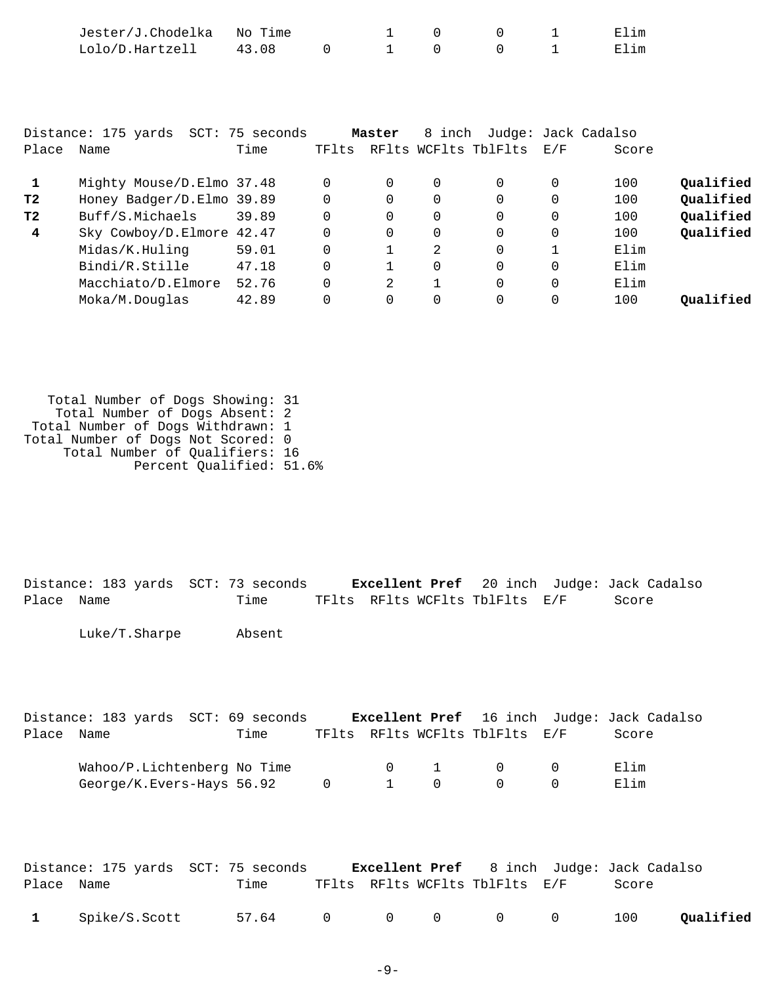|                                            | Jester/J.Chodelka<br>Lolo/D.Hartzell                                                                   | No Time<br>43.08 | $\Omega$                                     | $\mathbf{1}$                      | 0<br>0                  | 0<br>0                                             |                            | Elim<br>Elim             |                                                  |
|--------------------------------------------|--------------------------------------------------------------------------------------------------------|------------------|----------------------------------------------|-----------------------------------|-------------------------|----------------------------------------------------|----------------------------|--------------------------|--------------------------------------------------|
| Place                                      | Distance: 175 yards SCT: 75 seconds<br>Name                                                            | Time             | TFlts                                        | Master                            |                         | 8 inch Judge: Jack Cadalso<br>RFlts WCFlts TblFlts | E/F                        | Score                    |                                                  |
| $\mathbf{1}$<br>т2<br>т2<br>$\overline{4}$ | Mighty Mouse/D.Elmo 37.48<br>Honey Badger/D.Elmo 39.89<br>Buff/S.Michaels<br>Sky Cowboy/D.Elmore 42.47 | 39.89            | $\Omega$<br>$\Omega$<br>$\Omega$<br>$\Omega$ | $\mathbf 0$<br>0<br>0<br>$\Omega$ | 0<br>0<br>0<br>$\Omega$ | $\Omega$<br>0<br>$\overline{0}$<br>$\Omega$        | 0<br>$\mathbf 0$<br>0<br>0 | 100<br>100<br>100<br>100 | Qualified<br>Qualified<br>Qualified<br>Qualified |
|                                            | Midas/K.Huling                                                                                         | 59.01            | $\Omega$                                     |                                   | 2                       | $\Omega$                                           |                            | Elim                     |                                                  |

Moka/M.Douglas 42.89 0 0 0 0 0 100 **Qualified**

Bindi/R.Stille 47.18 0 1 0 0 0 Elim Macchiato/D.Elmore 52.76 0 2 1 0 0 Elim

 Total Number of Dogs Showing: 31 Total Number of Dogs Absent: 2 Total Number of Dogs Withdrawn: 1 Total Number of Dogs Not Scored: 0 Total Number of Qualifiers: 16 Percent Qualified: 51.6%

Distance: 183 yards SCT: 73 seconds **Excellent Pref** 20 inch Judge: Jack Cadalso Place Name Time TFlts RFlts WCFlts TblFlts E/F Score Luke/T.Sharpe Absent

|            | Distance: 183 yards SCT: 69 seconds |      |                |              |                                | <b>Excellent Pref</b> 16 inch Judge: Jack Cadalso |
|------------|-------------------------------------|------|----------------|--------------|--------------------------------|---------------------------------------------------|
| Place Name |                                     | Time |                |              | TFlts RFlts WCFlts TblFlts E/F | Score                                             |
|            | Wahoo/P.Lichtenberg No Time         |      |                | $0\qquad 1$  | - 0                            | Elim                                              |
|            | George/K.Evers-Hays 56.92           |      | $\overline{0}$ | $1 \qquad 0$ | - ( )                          | Elim                                              |

|            |                 | Distance: 175 yards SCT: 75 seconds |  |                                | <b>Excellent Pref</b> 8 inch Judge: Jack Cadalso |           |
|------------|-----------------|-------------------------------------|--|--------------------------------|--------------------------------------------------|-----------|
| Place Name |                 | Time                                |  | TFlts RFlts WCFlts TblFlts E/F | Score                                            |           |
|            | 1 Spike/S.Scott | 57.64 0 0 0 0 0                     |  |                                | 100                                              | Qualified |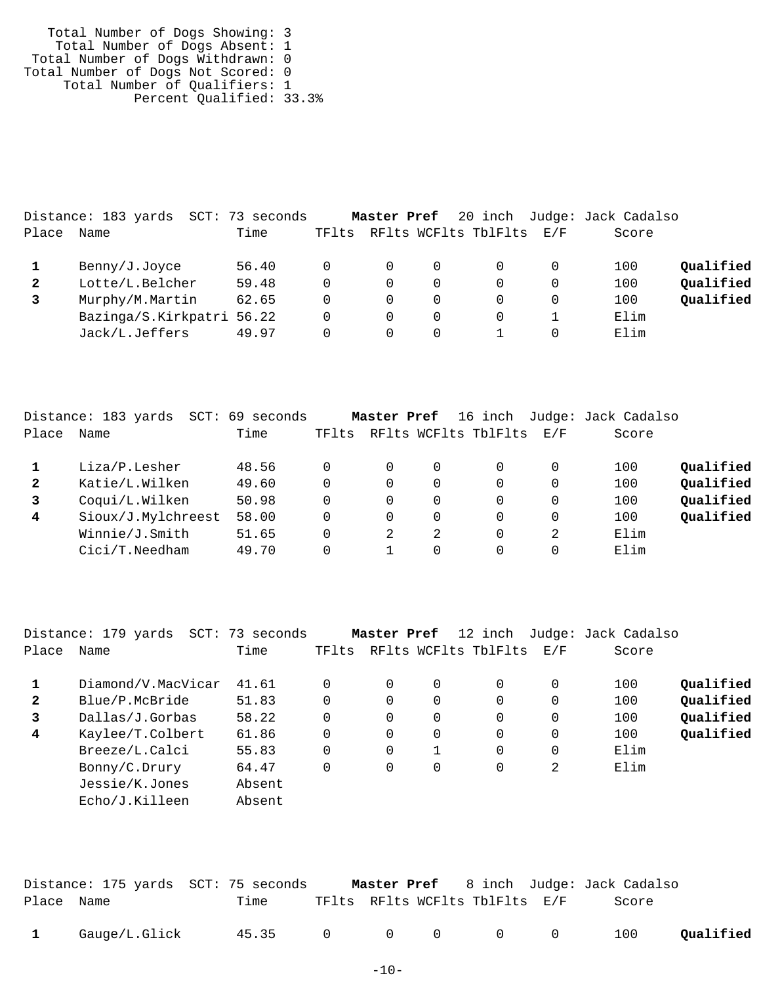Total Number of Dogs Showing: 3 Total Number of Dogs Absent: 1 Total Number of Dogs Withdrawn: 0 Total Number of Dogs Not Scored: 0 Total Number of Qualifiers: 1 Percent Qualified: 33.3%

|              | Distance: 183 yards       | SCT: 73 seconds |       | Master Pref |                      |     | 20 inch Judge: Jack Cadalso |           |
|--------------|---------------------------|-----------------|-------|-------------|----------------------|-----|-----------------------------|-----------|
| Place        | Name                      | Time            | TFlts |             | RFlts WCFlts TblFlts | E/F | Score                       |           |
|              | Benny/J.Joyce             | 56.40           | 0     | $\Omega$    |                      |     | 100                         | Qualified |
| $\mathbf{2}$ | Lotte/L.Belcher           | 59.48           | 0     | 0           |                      |     | 100                         | Qualified |
|              | Murphy/M.Martin           | 62.65           | 0     | 0           |                      |     | 100                         | Qualified |
|              | Bazinga/S.Kirkpatri 56.22 |                 | 0     | 0           |                      |     | Elim                        |           |
|              | Jack/L.Jeffers            | 49.97           |       | 0           |                      |     | Elim                        |           |

|              | Distance: 183 yards<br>SCT: | 69 seconds |          | Master Pref |               | 16 inch              |     | Judge: Jack Cadalso |           |
|--------------|-----------------------------|------------|----------|-------------|---------------|----------------------|-----|---------------------|-----------|
| Place        | Name                        | Time       | TFlts    |             |               | RFlts WCFlts TblFlts | E/F | Score               |           |
|              | Liza/P.Lesher               | 48.56      |          | 0           | 0             | 0                    | 0   | 100                 | Qualified |
| $\mathbf{2}$ | Katie/L.Wilken              | 49.60      | $\Omega$ | $\Omega$    | 0             | 0                    | 0   | 100                 | Qualified |
|              | Coqui/L.Wilken              | 50.98      | $\Omega$ | $\Omega$    | 0             | $\Omega$             | 0   | 100                 | Qualified |
| 4            | Sioux/J.Mylchreest          | 58.00      | $\Omega$ | $\Omega$    | 0             | $\Omega$             | 0   | 100                 | Qualified |
|              | Winnie/J.Smith              | 51.65      | $\Omega$ | 2           | $\mathcal{L}$ | $\Omega$             | 2   | Elim                |           |
|              | $Cici/T.$ Needham           | 49.70      |          |             | 0             |                      |     | Elim                |           |
|              |                             |            |          |             |               |                      |     |                     |           |

|              | Distance: 179 yards | SCT: 73 seconds |       | Master Pref |          | 12 inch              |     | Judge: Jack Cadalso |           |
|--------------|---------------------|-----------------|-------|-------------|----------|----------------------|-----|---------------------|-----------|
| Place        | Name                | Time            | TFlts |             |          | RFlts WCFlts TblFlts | E/F | Score               |           |
| 1            | Diamond/V.MacVicar  | 41.61           | 0     | 0           | 0        |                      |     | 100                 | Qualified |
| $\mathbf{2}$ | Blue/P.McBride      | 51.83           | 0     | 0           | 0        |                      | 0   | 100                 | Oualified |
| 3            | Dallas/J.Gorbas     | 58.22           | 0     | 0           | $\Omega$ |                      | 0   | 100                 | Qualified |
| 4            | Kaylee/T.Colbert    | 61.86           | 0     | 0           | 0        | 0                    | 0   | 100                 | Qualified |
|              | Breeze/L.Calci      | 55.83           | 0     | 0           |          |                      | 0   | Elim                |           |
|              | Bonny/C.Drury       | 64.47           | 0     | 0           | 0        |                      |     | Elim                |           |
|              | Jessie/K.Jones      | Absent          |       |             |          |                      |     |                     |           |
|              | Echo/J.Killeen      | Absent          |       |             |          |                      |     |                     |           |

|              |               | Distance: 175 yards SCT: 75 seconds |  |                                | <b>Master Pref</b> 8 inch Judge: Jack Cadalso |           |
|--------------|---------------|-------------------------------------|--|--------------------------------|-----------------------------------------------|-----------|
| Place Name   |               | Time                                |  | TFlts RFlts WCFlts TblFlts E/F | Score                                         |           |
| $\mathbf{1}$ | Gauge/L.Glick | 45.35 0 0 0 0 0                     |  |                                | 100                                           | Qualified |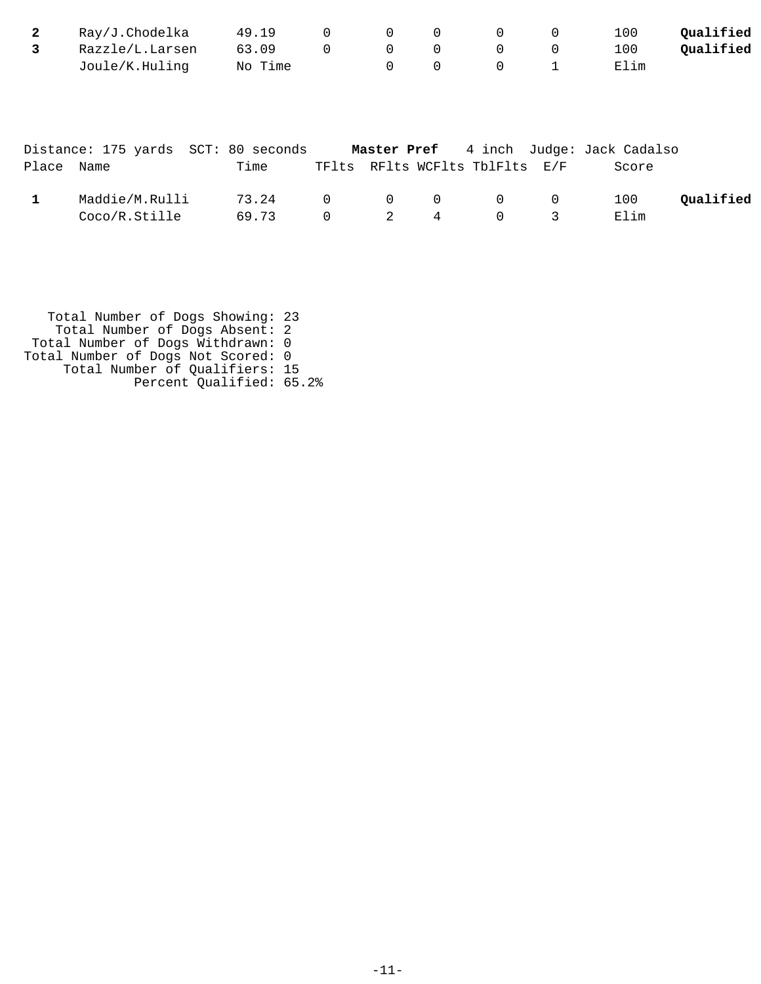| 2     | Ray/J.Chodelka                      | 49.19   | $\mathbf 0$ | $\mathbf{0}$ | 0 | 0                    | 0   | 100                 | Qualified |
|-------|-------------------------------------|---------|-------------|--------------|---|----------------------|-----|---------------------|-----------|
| 3     | Razzle/L.Larsen                     | 63.09   | $\mathbf 0$ | 0            | 0 | 0                    | 0   | 100                 | Qualified |
|       | Joule/K.Huling                      | No Time |             | 0            | 0 | 0                    |     | Elim                |           |
|       | Distance: 175 yards SCT: 80 seconds |         |             | Master Pref  |   | 4 inch               |     | Judge: Jack Cadalso |           |
| Place | Name                                | Time    | TFlts       |              |   | RFlts WCFlts TblFlts | E/F | Score               |           |

| Maddie/M.Rulli 73.24 0 0 0 0 0 100 <b>Qualified</b> |  |  |  |  |
|-----------------------------------------------------|--|--|--|--|
| $\text{Coco/R. Stille}$ 69.73 0 2 4 0 3 Elim        |  |  |  |  |

| Total Number of Dogs Showing: 23   |  |
|------------------------------------|--|
| Total Number of Dogs Absent: 2     |  |
| Total Number of Dogs Withdrawn: 0  |  |
| Total Number of Dogs Not Scored: 0 |  |
| Total Number of Qualifiers: 15     |  |
| Percent Qualified: 65.2%           |  |
|                                    |  |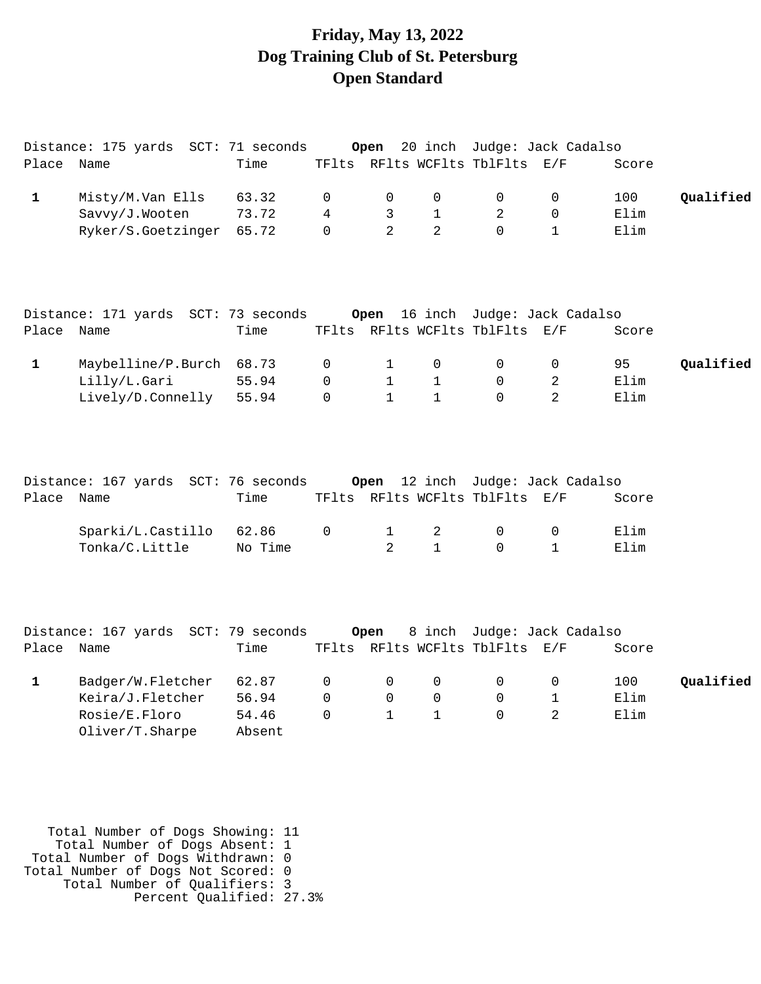# **Friday, May 13, 2022 Dog Training Club of St. Petersburg Open Standard**

| Place Name   | Distance: 175 yards SCT: 71 seconds                                       | Time                              |                              | Open                                        |                                          | 20 inch Judge: Jack Cadalso<br>TFlts RFlts WCFlts TblFlts E/F |                          | Score               |           |
|--------------|---------------------------------------------------------------------------|-----------------------------------|------------------------------|---------------------------------------------|------------------------------------------|---------------------------------------------------------------|--------------------------|---------------------|-----------|
| $\mathbf 1$  | Misty/M.Van Ells<br>Savvy/J.Wooten<br>Ryker/S.Goetzinger                  | 63.32<br>73.72<br>65.72           | 0<br>4<br>$\Omega$           | 0<br>3<br>$\overline{2}$                    | 0<br>$\mathbf{1}$<br>$\overline{2}$      | 0<br>2<br>$\Omega$                                            | 0<br>0<br>$\mathbf{1}$   | 100<br>Elim<br>Elim | Qualified |
| Place Name   | Distance: 171 yards SCT: 73 seconds                                       | Time                              |                              | Open                                        |                                          | 16 inch Judge: Jack Cadalso<br>TFlts RFlts WCFlts TblFlts E/F |                          | Score               |           |
| $\mathbf{1}$ | Maybelline/P.Burch<br>Lilly/L.Gari<br>Lively/D.Connelly                   | 68.73<br>55.94<br>55.94           | 0<br>$\mathsf 0$<br>$\Omega$ | $\mathbf 1$<br>$\mathbf{1}$<br>$\mathbf{1}$ | 0<br>$\mathbf{1}$<br>$\mathbf{1}$        | $\mathsf{O}$<br>0<br>$\Omega$                                 | 0<br>2<br>$\overline{2}$ | 95<br>Elim<br>Elim  | Qualified |
| Place Name   | Distance: 167 yards SCT: 76 seconds                                       | Time                              |                              | Open                                        |                                          | 12 inch Judge: Jack Cadalso<br>TFlts RFlts WCFlts TblFlts E/F |                          | Score               |           |
|              | Sparki/L.Castillo<br>Tonka/C.Little                                       | 62.86<br>No Time                  | 0                            | $\mathbf 1$<br>$\overline{2}$               | 2<br>$\mathbf{1}$                        | $\mathbf 0$<br>$\Omega$                                       | 0<br>$\mathbf{1}$        | Elim<br>Elim        |           |
| Place Name   | Distance: 167 yards SCT: 79 seconds                                       | Time                              |                              | Open                                        |                                          | 8 inch Judge: Jack Cadalso<br>TFlts RFlts WCFlts TblFlts      | E/F                      | Score               |           |
| $\mathbf{1}$ | Badger/W.Fletcher<br>Keira/J.Fletcher<br>Rosie/E.Floro<br>Oliver/T.Sharpe | 62.87<br>56.94<br>54.46<br>Absent | $\mathsf 0$<br>0<br>$\Omega$ | 0<br>0<br>$\mathbf{1}$                      | $\mathsf{O}\xspace$<br>0<br>$\mathbf{1}$ | 0<br>$\mathbf 0$<br>$\Omega$                                  | 0<br>1<br>$\overline{2}$ | 100<br>Elim<br>Elim | Qualified |

 Total Number of Dogs Showing: 11 Total Number of Dogs Absent: 1 Total Number of Dogs Withdrawn: 0 Total Number of Dogs Not Scored: 0 Total Number of Qualifiers: 3 Percent Qualified: 27.3%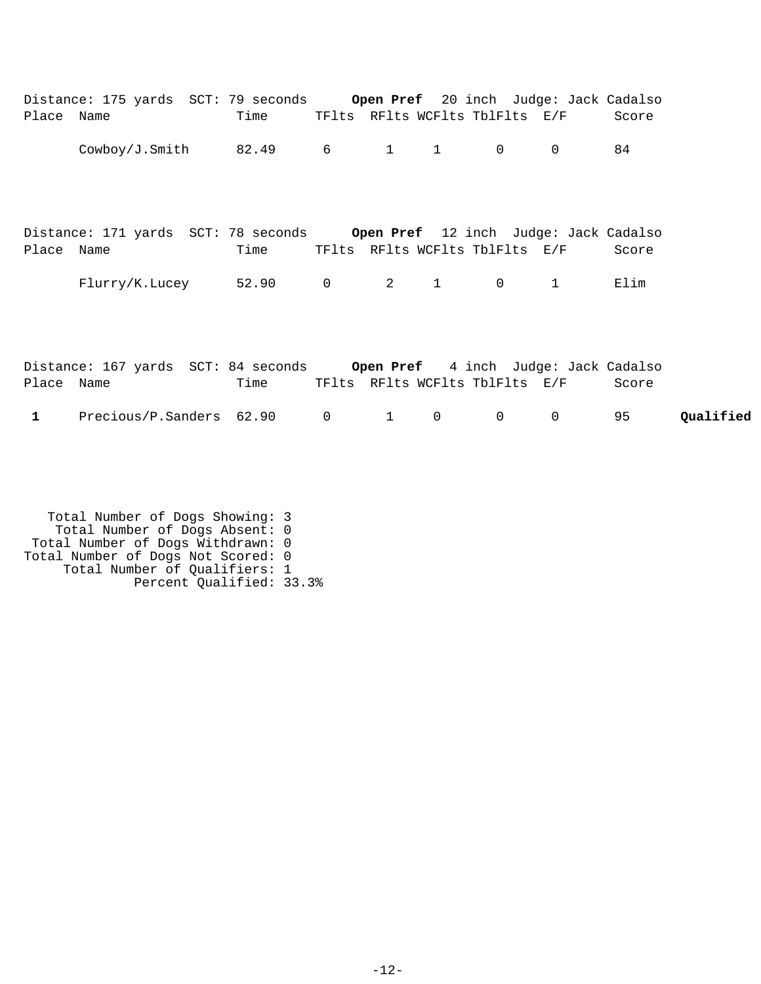| Place Name   | Distance: 175 yards SCT: 79 seconds Open Pref 20 inch Judge: Jack Cadalso | Time TFlts RFlts WCFlts TblFlts E/F |   |              |                                |                | Score |           |
|--------------|---------------------------------------------------------------------------|-------------------------------------|---|--------------|--------------------------------|----------------|-------|-----------|
|              | Cowboy/J.Smith $82.49$ 6 1 1 0                                            |                                     |   |              |                                | $\Omega$       | 84    |           |
| Place Name   | Distance: 171 yards SCT: 78 seconds Open Pref 12 inch Judge: Jack Cadalso | Time TFlts RFlts WCFlts TblFlts E/F |   |              |                                |                | Score |           |
|              | Flurry/K.Lucey 52.90 0 2 1 0 1                                            |                                     |   |              |                                |                | Elim  |           |
| Place Name   | Distance: 167 yards SCT: 84 seconds Open Pref 4 inch Judge: Jack Cadalso  | Time                                |   |              | TFlts RFlts WCFlts TblFlts E/F |                | Score |           |
| $\mathbf{1}$ | Precious/P.Sanders 62.90 0                                                |                                     | 1 | $\mathsf{O}$ | $\overline{0}$                 | $\overline{0}$ | 95    | Qualified |

 Total Number of Dogs Showing: 3 Total Number of Dogs Absent: 0 Total Number of Dogs Withdrawn: 0 Total Number of Dogs Not Scored: 0 Total Number of Qualifiers: 1 Percent Qualified: 33.3%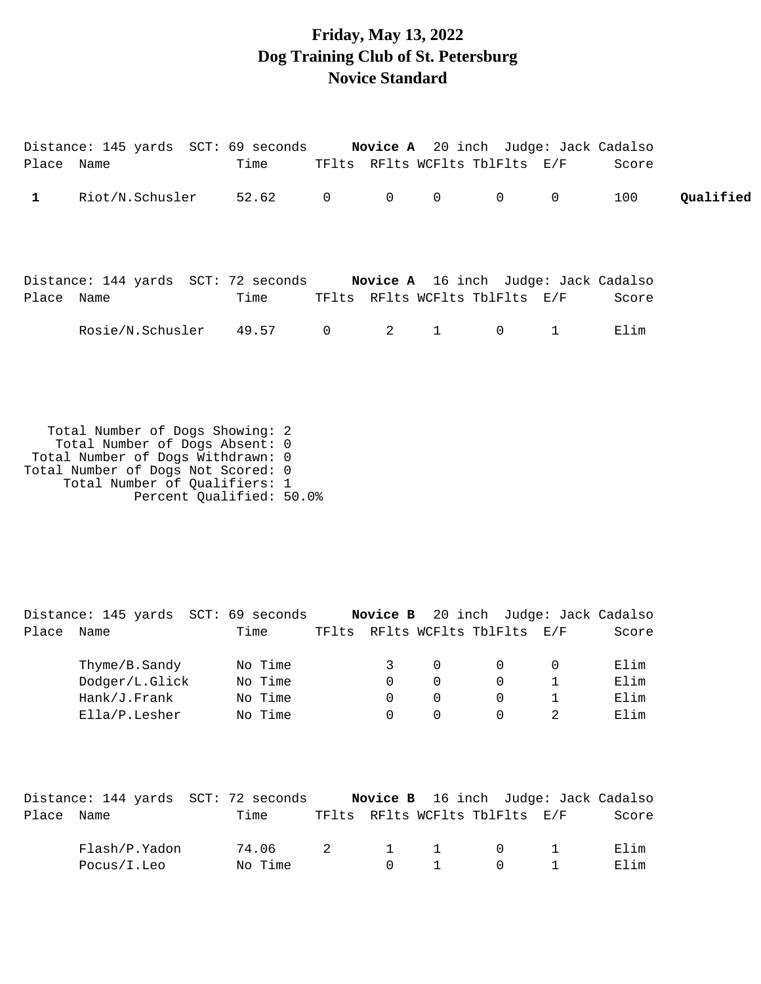## **Friday, May 13, 2022 Dog Training Club of St. Petersburg Novice Standard**

|              | Distance: 145 yards  SCT: 69 seconds <b>Novice A</b> 20 inch  Judge: Jack Cadalso |                 |                                |  |       |           |
|--------------|-----------------------------------------------------------------------------------|-----------------|--------------------------------|--|-------|-----------|
| Place Name   |                                                                                   | Time            | TFlts RFlts WCFlts TblFlts E/F |  | Score |           |
| $\mathbf{1}$ | Riot/N.Schusler                                                                   | 52.62 0 0 0 0 0 |                                |  | 100   | Oualified |
|              | Distance: 144 yards SCT: 72 seconds Novice A 16 inch Judge: Jack Cadalso          |                 |                                |  |       |           |
| Place Name   |                                                                                   | Time            | TFlts RFlts WCFlts TblFlts E/F |  | Score |           |
|              | Rosie/N.Schusler 49.57 0 2 1 0 1                                                  |                 |                                |  | Elim  |           |
|              |                                                                                   |                 |                                |  |       |           |
|              |                                                                                   |                 |                                |  |       |           |

 Total Number of Dogs Showing: 2 Total Number of Dogs Absent: 0 Total Number of Dogs Withdrawn: 0 Total Number of Dogs Not Scored: 0 Total Number of Qualifiers: 1 Percent Qualified: 50.0%

Distance: 145 yards SCT: 69 seconds **Novice B** 20 inch Judge: Jack Cadalso Place Name Time TFlts RFlts WCFlts TblFlts E/F Score Thyme/B.Sandy No Time 3 0 0 0 Elim Dodger/L.Glick No Time 0 0 0 0 1 Elim Hank/J.Frank No Time 0 0 0 0 1 Elim Ella/P.Lesher No Time 0 0 0 0 2 Elim

|            | Distance: 144 yards SCT: 72 seconds |         |                |                                        |                                | <b>Novice B</b> 16 inch Judge: Jack Cadalso |       |
|------------|-------------------------------------|---------|----------------|----------------------------------------|--------------------------------|---------------------------------------------|-------|
| Place Name |                                     | Time    |                |                                        | TFlts RFlts WCFlts TblFlts E/F |                                             | Score |
|            | Flash/P.Yadon                       | 74.06   | $\overline{2}$ |                                        | 1 1 0 1                        |                                             | Elim  |
|            | Pocus/I.Leo                         | No Time |                | $\begin{array}{ccc} 0 & 1 \end{array}$ |                                | $\begin{array}{ccc} 0 & 1 \end{array}$      | Flim  |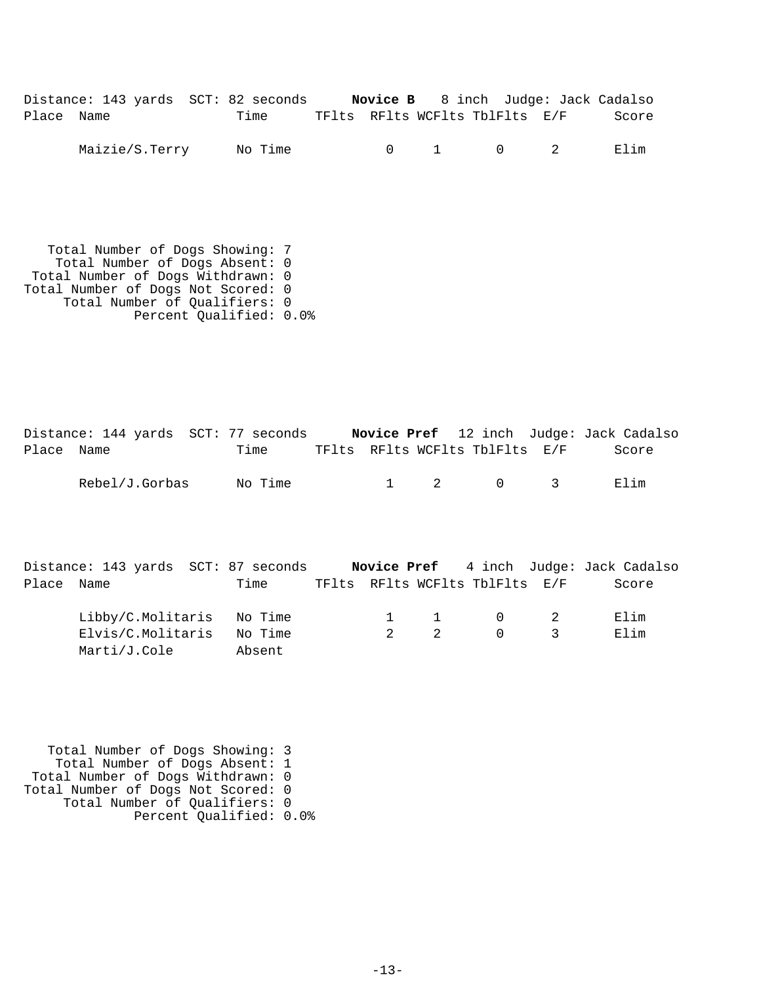| Distance: 143 yards SCT: 82 seconds |      |                                | <b>Novice B</b> 8 inch Judge: Jack Cadalso |       |
|-------------------------------------|------|--------------------------------|--------------------------------------------|-------|
| Place Name                          | Time | TFlts RFlts WCFlts TblFlts E/F |                                            | Score |

Maizie/S.Terry No Time  $0$  1 0 2 Elim

 Total Number of Dogs Showing: 7 Total Number of Dogs Absent: 0 Total Number of Dogs Withdrawn: 0 Total Number of Dogs Not Scored: 0 Total Number of Qualifiers: 0 Percent Qualified: 0.0%

Distance: 144 yards SCT: 77 seconds **Novice Pref** 12 inch Judge: Jack Cadalso Place Name Time TFlts RFlts WCFlts TblFlts E/F Score Rebel/J.Gorbas No Time  $1$  2 0 3 Elim

|            |                   |  | Distance: 143 yards SCT: 87 seconds |             |                |                                |                                          | <b>Novice Pref</b> 4 inch Judge: Jack Cadalso |
|------------|-------------------|--|-------------------------------------|-------------|----------------|--------------------------------|------------------------------------------|-----------------------------------------------|
| Place Name |                   |  | Time                                |             |                | TFlts RFlts WCFlts TblFlts E/F |                                          | Score                                         |
|            |                   |  | Libby/C.Molitaris No Time           |             |                | $1 \quad 1 \quad 0 \quad 2$    |                                          | Elim                                          |
|            | Elvis/C.Molitaris |  | No Time                             | $2^{\circ}$ | $\overline{2}$ |                                | $\begin{array}{ccc} 0 & & 3 \end{array}$ | Elim                                          |
|            | Marti/J.Cole      |  | Absent                              |             |                |                                |                                          |                                               |

 Total Number of Dogs Showing: 3 Total Number of Dogs Absent: 1 Total Number of Dogs Withdrawn: 0 Total Number of Dogs Not Scored: 0 Total Number of Qualifiers: 0 Percent Qualified: 0.0%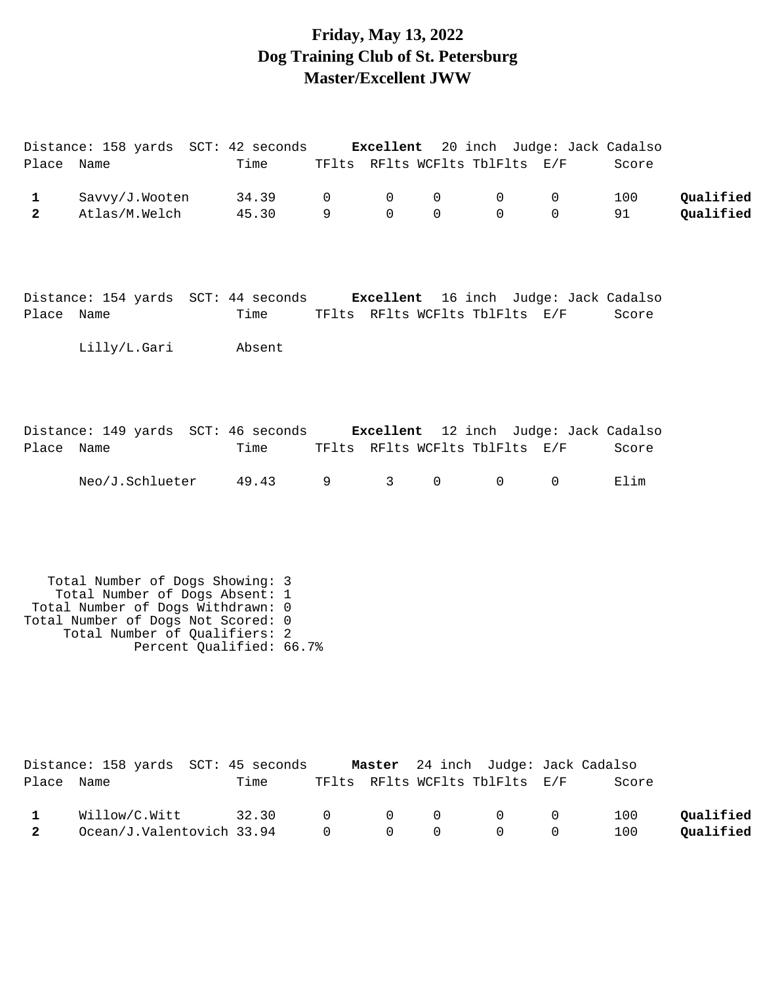# **Friday, May 13, 2022 Dog Training Club of St. Petersburg Master/Excellent JWW**

| Place Name                  | Distance: 158 yards SCT: 42 seconds Excellent 20 inch Judge: Jack Cadalso                                                                                                     | Time                     |                   |                        |               | TFlts RFlts WCFlts TblFlts E/F                 |                              | Score         |                        |
|-----------------------------|-------------------------------------------------------------------------------------------------------------------------------------------------------------------------------|--------------------------|-------------------|------------------------|---------------|------------------------------------------------|------------------------------|---------------|------------------------|
| $\mathbf 1$<br>$\mathbf{2}$ | Savvy/J.Wooten<br>Atlas/M.Welch                                                                                                                                               | 34.39<br>45.30           | $\mathsf{O}$<br>9 | 0<br>$\Omega$          | 0<br>$\Omega$ | 0<br>$\Omega$                                  | $\mathsf{O}$<br>$\mathsf{O}$ | 100<br>91     | Qualified<br>Qualified |
| Place Name                  | Distance: 154 yards SCT: 44 seconds Excellent 16 inch Judge: Jack Cadalso<br>Lilly/L.Gari                                                                                     | Time<br>Absent           |                   |                        |               | TFlts RFlts WCFlts TblFlts E/F                 |                              | Score         |                        |
| Place Name                  | Distance: 149 yards SCT: 46 seconds Excellent 12 inch Judge: Jack Cadalso<br>Neo/J.Schlueter                                                                                  | Time<br>49.43            | 9                 | $3 \quad \blacksquare$ | 0             | TFlts RFlts WCFlts TblFlts E/F<br>$\mathsf{O}$ | $\mathsf{O}$                 | Score<br>Elim |                        |
|                             | Total Number of Dogs Showing: 3<br>Total Number of Dogs Absent: 1<br>Total Number of Dogs Withdrawn: 0<br>Total Number of Dogs Not Scored: 0<br>Total Number of Qualifiers: 2 | Percent Qualified: 66.7% |                   |                        |               |                                                |                              |               |                        |
| Place Name                  | Distance: 158 yards SCT: 45 seconds Master 24 inch Judge: Jack Cadalso                                                                                                        | Time                     |                   |                        |               | TFlts RFlts WCFlts TblFlts E/F                 |                              | Score         |                        |

| 1 Willow/C.Witt 32.30 0 0 0 0 0 100 Qualified       |  |  |  |  |
|-----------------------------------------------------|--|--|--|--|
| 2 Ocean/J.Valentovich 33.94 0 0 0 0 0 100 Qualified |  |  |  |  |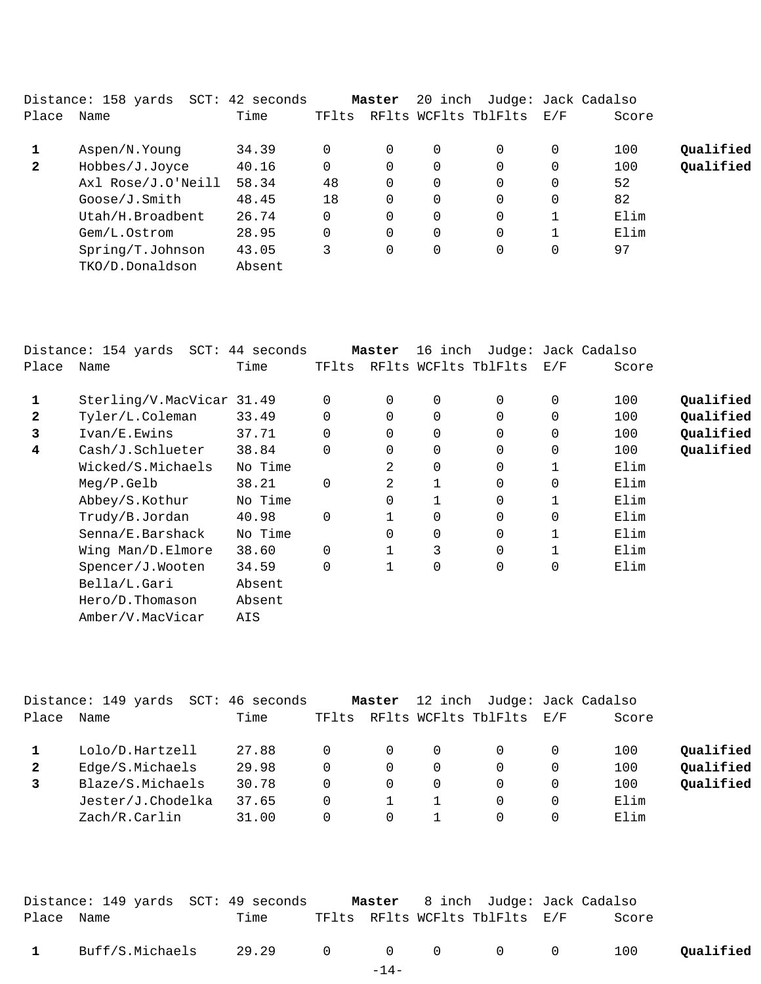| Distance: 158 yards<br>$SCT$ : | 42 seconds |       |          |        |          |                                 |       |                     |
|--------------------------------|------------|-------|----------|--------|----------|---------------------------------|-------|---------------------|
| Name                           | Time       | TFlts |          |        |          | E/F                             | Score |                     |
| Aspen/N.Young                  | 34.39      |       | $\Omega$ | 0      | 0        | 0                               | 100   | Qualified           |
| Hobbes/J.Joyce                 | 40.16      | 0     | $\Omega$ | 0      | 0        | 0                               | 100   | Qualified           |
| Axl Rose/J.O'Neill             | 58.34      | 48    | 0        | 0      | $\Omega$ | 0                               | 52    |                     |
| Goose/J.Smith                  | 48.45      | 18    | 0        | 0      | $\Omega$ | 0                               | 82    |                     |
| Utah/H.Broadbent               | 26.74      | 0     | 0        | 0      | 0        |                                 | Elim  |                     |
| Gem/L.Ostrom                   | 28.95      |       | 0        | 0      | 0        |                                 | Elim  |                     |
| Spring/T.Johnson               | 43.05      | 3     | 0        | 0      | 0        | 0                               | 97    |                     |
| TKO/D.Donaldson                | Absent     |       |          |        |          |                                 |       |                     |
|                                |            |       |          | Master |          | 20 inch<br>RFlts WCFlts TblFlts |       | Judge: Jack Cadalso |

|              | Distance: 154 yards<br>SCT: | 44 seconds |          | Master   | 16 inch        |                      |             | Judge: Jack Cadalso |           |
|--------------|-----------------------------|------------|----------|----------|----------------|----------------------|-------------|---------------------|-----------|
| Place        | Name                        | Time       | TFlts    |          |                | RFlts WCFlts TblFlts | E/F         | Score               |           |
|              | Sterling/V.MacVicar 31.49   |            | 0        | $\Omega$ | 0              | 0                    | 0           | 100                 | Qualified |
| $\mathbf{2}$ | Tyler/L.Coleman             | 33.49      | 0        | $\Omega$ | 0              | 0                    | 0           | 100                 | Qualified |
| 3            | Ivan/E.Ewins                | 37.71      | 0        | 0        | 0              | 0                    | 0           | 100                 | Qualified |
| 4            | Cash/J.Schlueter            | 38.84      | 0        | 0        | $\overline{0}$ | 0                    | 0           | 100                 | Qualified |
|              | Wicked/S.Michaels           | No Time    |          | 2        | $\overline{0}$ | 0                    |             | Elim                |           |
|              | Meg/P.Gelb                  | 38.21      | 0        | 2        | $\mathbf{1}$   | 0                    | $\mathbf 0$ | Elim                |           |
|              | Abbey/S.Kothur              | No Time    |          | 0        |                | 0                    |             | Elim                |           |
|              | Trudy/B.Jordan              | 40.98      | 0        |          | 0              | 0                    | $\mathbf 0$ | Elim                |           |
|              | Senna/E.Barshack            | No Time    |          | 0        | 0              | 0                    |             | Elim                |           |
|              | Wing Man/D.Elmore           | 38.60      | $\Omega$ | 1        | 3              | 0                    |             | Elim                |           |
|              | Spencer/J.Wooten            | 34.59      | 0        |          | 0              | 0                    | 0           | Elim                |           |
|              | Bella/L.Gari                | Absent     |          |          |                |                      |             |                     |           |
|              | Hero/D.Thomason             | Absent     |          |          |                |                      |             |                     |           |
|              | Amber/V.MacVicar            | AIS        |          |          |                |                      |             |                     |           |

|              | Distance: 149 yards<br>SCT: | 46 seconds |       | Master   |   | 12 inch Judge: Jack Cadalso |          |       |           |
|--------------|-----------------------------|------------|-------|----------|---|-----------------------------|----------|-------|-----------|
| Place        | Name                        | Time       | TFlts |          |   | RFlts WCFlts TblFlts E/F    |          | Score |           |
|              | Lolo/D.Hartzell             | 27.88      |       | 0        | 0 |                             | $\Omega$ | 100   | Qualified |
| $\mathbf{2}$ | Edge/S.Michaels             | 29.98      |       | 0        | 0 |                             | $\Omega$ | 100   | Qualified |
|              | Blaze/S.Michaels            | 30.78      |       | 0        | 0 |                             | $\Omega$ | 100   | Qualified |
|              | Jester/J.Chodelka           | 37.65      |       |          |   |                             | $\Omega$ | Elim  |           |
|              | Zach/R.Carlin               | 31.00      |       | $\Omega$ |   |                             | $\Omega$ | Elim  |           |
|              |                             |            |       |          |   |                             |          |       |           |

|              | Distance: 149 yards  SCT: 49 seconds |        | <b>Master</b> 8 inch Judge: Jack Cadalso |       |           |
|--------------|--------------------------------------|--------|------------------------------------------|-------|-----------|
| Place Name   | Time                                 |        | TFlts RFlts WCFlts TblFlts E/F           | Score |           |
| $\mathbf{1}$ | Buff/S.Michaels 29.29 0 0 0 0 0 100  |        |                                          |       | Qualified |
|              |                                      | $-14-$ |                                          |       |           |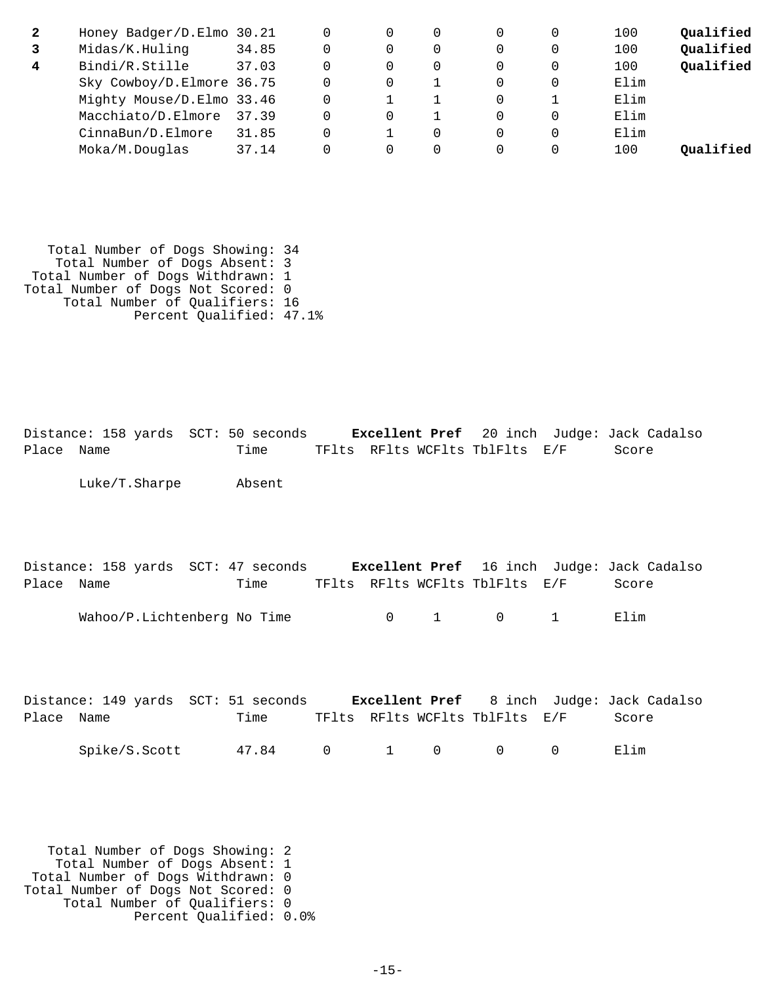| 2 | Honey Badger/D.Elmo 30.21 |       | $\Omega$ | 0 | $\Omega$ | 100  | Qualified |
|---|---------------------------|-------|----------|---|----------|------|-----------|
|   | Midas/K.Huling            | 34.85 |          |   | $\Omega$ | 100  | Qualified |
| 4 | Bindi/R.Stille            | 37.03 |          | 0 | $\Omega$ | 100  | Qualified |
|   | Sky Cowboy/D.Elmore 36.75 |       | 0        |   | $\Omega$ | Elim |           |
|   | Mighty Mouse/D.Elmo 33.46 |       |          |   |          | Elim |           |
|   | Macchiato/D.Elmore        | 37.39 | 0        |   | $\Omega$ | Elim |           |
|   | CinnaBun/D.Elmore         | 31.85 |          | 0 | $\Omega$ | Elim |           |
|   | Moka/M.Douglas            | 37.14 |          |   | 0        | 100  | Oualified |

 Total Number of Dogs Showing: 34 Total Number of Dogs Absent: 3 Total Number of Dogs Withdrawn: 1 Total Number of Dogs Not Scored: 0 Total Number of Qualifiers: 16 Percent Qualified: 47.1%

Distance: 158 yards SCT: 50 seconds **Excellent Pref** 20 inch Judge: Jack Cadalso Place Name Time TFlts RFlts WCFlts TblFlts E/F Score

Luke/T.Sharpe Absent

|            |                             | Distance: 158 yards SCT: 47 seconds |  |                                | <b>Excellent Pref</b> 16 inch Judge: Jack Cadalso |  |
|------------|-----------------------------|-------------------------------------|--|--------------------------------|---------------------------------------------------|--|
| Place Name |                             | Time                                |  | TFlts RFlts WCFlts TblFlts E/F | Score                                             |  |
|            | Wahoo/P.Lichtenberg No Time |                                     |  | $0 \qquad 1 \qquad 0 \qquad 1$ | Flim                                              |  |

|            |               | Distance: 149 yards SCT: 51 seconds |  |                                | <b>Excellent Pref</b> 8 inch Judge: Jack Cadalso |
|------------|---------------|-------------------------------------|--|--------------------------------|--------------------------------------------------|
| Place Name |               | Time                                |  | TFlts RFlts WCFlts TblFlts E/F | Score                                            |
|            | Spike/S.Scott | 47.84 0 1 0                         |  | $\overline{0}$                 | Elim                                             |

 Total Number of Dogs Showing: 2 Total Number of Dogs Absent: 1 Total Number of Dogs Withdrawn: 0 Total Number of Dogs Not Scored: 0 Total Number of Qualifiers: 0 Percent Qualified: 0.0%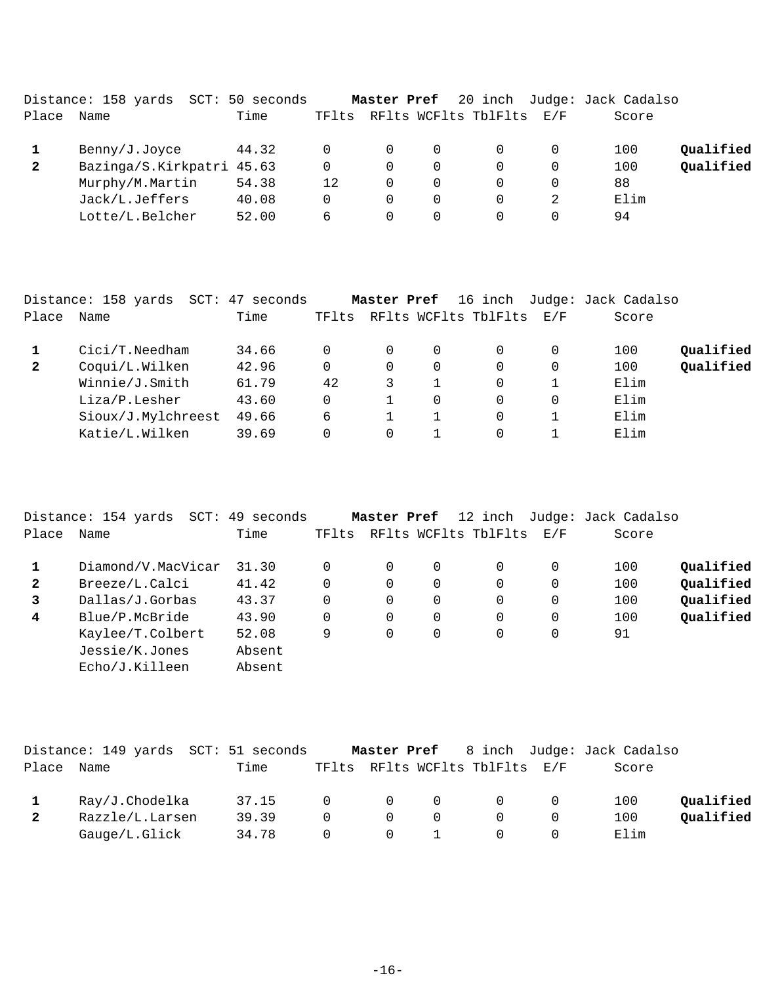|              | Distance: 158 yards<br>SCT: | 50 seconds |          | Master Pref |          |                      |                             | 20 inch Judge: Jack Cadalso |           |
|--------------|-----------------------------|------------|----------|-------------|----------|----------------------|-----------------------------|-----------------------------|-----------|
| Place        | Name                        | Time       | TFlts    |             |          | RFlts WCFlts TblFlts | $\mathrm{E}$ / $\mathrm{F}$ | Score                       |           |
|              | Benny/J.Joyce               | 44.32      | $\Omega$ | $\Omega$    | 0        |                      |                             | 100                         | Oualified |
| $\mathbf{2}$ | Bazinga/S.Kirkpatri 45.63   |            | 0        | 0           | $\Omega$ |                      |                             | 100                         | Qualified |
|              | Murphy/M.Martin             | 54.38      | 12       | 0           | $\Omega$ |                      |                             | 88                          |           |
|              | Jack/L.Jeffers              | 40.08      | 0        | 0           | $\Omega$ |                      |                             | Elim                        |           |
|              | Lotte/L.Belcher             | 52.00      | 6        | 0           | $\Omega$ |                      |                             | 94                          |           |
|              |                             |            |          |             |          |                      |                             |                             |           |

|              | Distance: 158 yards SCT: | 47 seconds |       | Master Pref |          | 16 inch              |     | Judge: Jack Cadalso |           |
|--------------|--------------------------|------------|-------|-------------|----------|----------------------|-----|---------------------|-----------|
| Place        | Name                     | Time       | TFlts |             |          | RFlts WCFlts TblFlts | E/F | Score               |           |
|              | $Cici/T.$ Needham        | 34.66      | 0     | 0           | 0        |                      |     | 100                 | Qualified |
| $\mathbf{2}$ | Coqui/L.Wilken           | 42.96      | 0     | 0           | $\Omega$ | $\Omega$             |     | 100                 | Qualified |
|              | Winnie/J.Smith           | 61.79      | 42    |             |          | $\Omega$             |     | Elim                |           |
|              | Liza/P.Lesher            | 43.60      | 0     |             | 0        | $\Omega$             |     | Elim                |           |
|              | Sioux/J.Mylchreest       | 49.66      | 6     |             |          | $\Omega$             |     | Elim                |           |
|              | Katie/L.Wilken           | 39.69      | 0     | 0           |          | $\Omega$             |     | Elim                |           |

|              | Distance: 154 yards<br>SCT: | 49 seconds |          | Master Pref |             | 12 inch              |          | Judge: Jack Cadalso |           |
|--------------|-----------------------------|------------|----------|-------------|-------------|----------------------|----------|---------------------|-----------|
| Place        | Name                        | Time       | TFlts    |             |             | RFlts WCFlts TblFlts | E/F      | Score               |           |
|              | Diamond/V.MacVicar          | 31.30      |          | 0           | $\mathbf 0$ | 0                    |          | 100                 | Oualified |
| $\mathbf{2}$ | Breeze/L.Calci              | 41.42      |          | 0           | $\mathbf 0$ | 0                    | 0        | 100                 | Oualified |
| 3            | Dallas/J.Gorbas             | 43.37      | 0        | 0           | $\mathbf 0$ | 0                    |          | 100                 | Qualified |
| 4            | Blue/P.McBride              | 43.90      | $\Omega$ | 0           | $\mathbf 0$ | $\Omega$             | $\Omega$ | 100                 | Qualified |
|              | Kaylee/T.Colbert            | 52.08      | 9        | 0           | 0           | 0                    | 0        | 91                  |           |
|              | Jessie/K.Jones              | Absent     |          |             |             |                      |          |                     |           |
|              | Echo/J.Killeen              | Absent     |          |             |             |                      |          |                     |           |

|              | Distance: 149 yards SCT: 51 seconds |       |                | Master Pref    |          |                                |                | 8 inch Judge: Jack Cadalso |           |
|--------------|-------------------------------------|-------|----------------|----------------|----------|--------------------------------|----------------|----------------------------|-----------|
| Place        | Name                                | Time  |                |                |          | TFlts RFlts WCFlts TblFlts E/F |                | Score                      |           |
|              | Ray/J.Chodelka                      | 37.15 | $\overline{0}$ | $\overline{0}$ | $\Omega$ | - 0                            | $\overline{0}$ | 100                        | Oualified |
| $\mathbf{2}$ | Razzle/L.Larsen                     | 39.39 | $\cap$         | $\Omega$       | $\Omega$ |                                |                | 100                        | Oualified |
|              | Gauge/L.Glick                       | 34.78 | $\Omega$       | $\Omega$       |          |                                |                | Elim                       |           |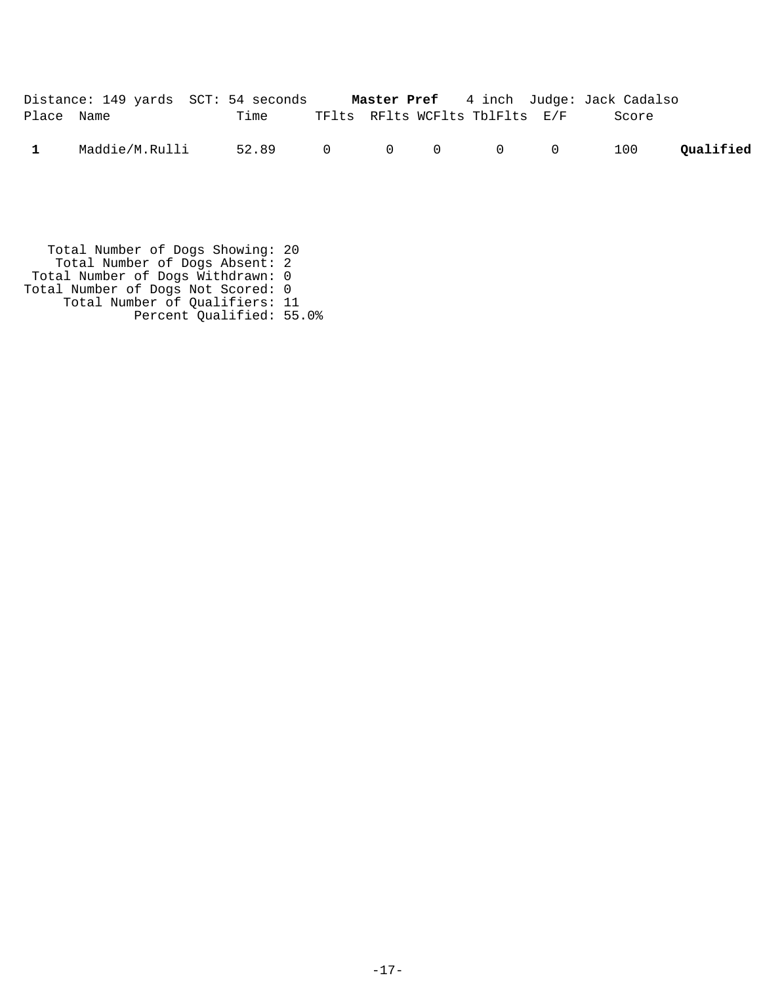|              | Distance: 149 yards SCT: 54 seconds Master Pref 4 inch Judge: Jack Cadalso |                     |  |                                |       |           |
|--------------|----------------------------------------------------------------------------|---------------------|--|--------------------------------|-------|-----------|
| Place Name   |                                                                            | Time                |  | TFlts RFlts WCFlts TblFlts E/F | Score |           |
| $\mathbf{1}$ | Maddie/M.Rulli                                                             | 52.89 0 0 0 0 0 100 |  |                                |       | Qualified |

 Total Number of Dogs Showing: 20 Total Number of Dogs Absent: 2 Total Number of Dogs Withdrawn: 0 Total Number of Dogs Not Scored: 0 Total Number of Qualifiers: 11 Percent Qualified: 55.0%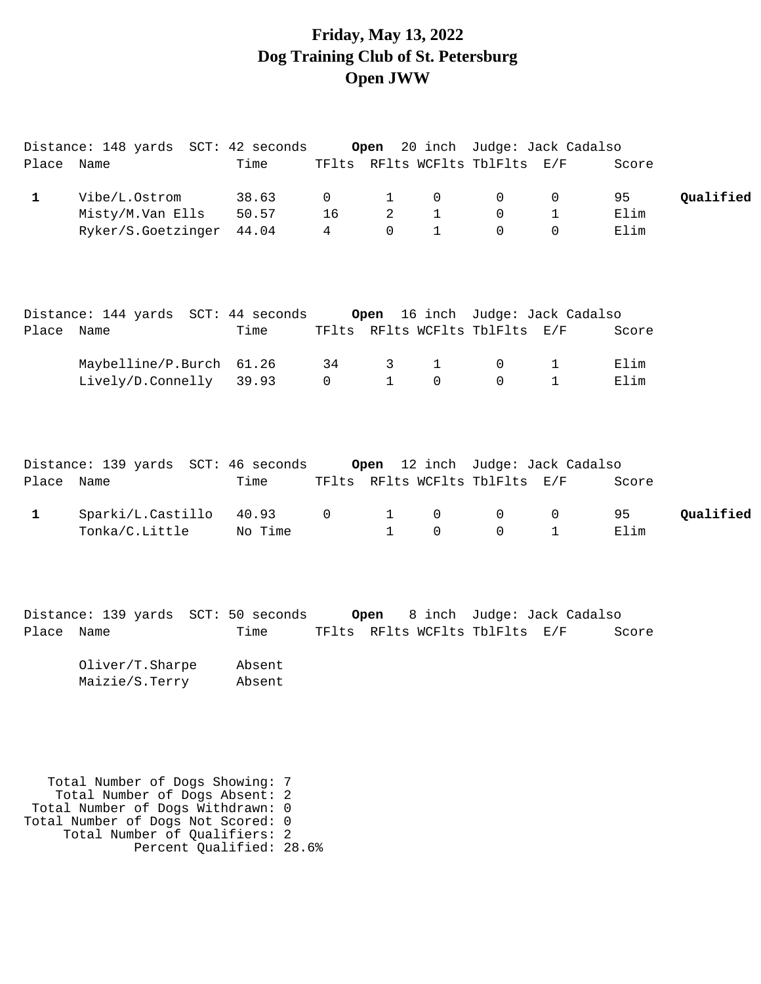## **Friday, May 13, 2022 Dog Training Club of St. Petersburg Open JWW**

|                            | Distance: 148 yards  SCT: 42 seconds                                              |                 |                | Open                         |                          |                                                           | 20 inch  Judge: Jack Cadalso               |                       |           |
|----------------------------|-----------------------------------------------------------------------------------|-----------------|----------------|------------------------------|--------------------------|-----------------------------------------------------------|--------------------------------------------|-----------------------|-----------|
| Place Name                 |                                                                                   | Time            |                |                              |                          | TFlts RFlts WCFlts TblFlts E/F                            |                                            | Score                 |           |
| $\mathbf{1}$               | Vibe/L.Ostrom                                                                     | 38.63           | $\mathsf{O}$   | ı                            | 0                        | $\mathbf 0$                                               | 0                                          | 95                    | Qualified |
|                            | Misty/M.Van Ells                                                                  | 50.57           | 16             | 2                            | $\mathbf{1}$             | 0                                                         | 1                                          | Elim                  |           |
|                            | Ryker/S.Goetzinger 44.04                                                          |                 | $\overline{4}$ | $\mathbf 0$                  | $\mathbf{1}$             | $\Omega$                                                  | $\Omega$                                   | Elim                  |           |
| Place Name                 | Maybelline/P.Burch 61.26<br>Lively/D.Connelly 39.93                               | Time            | 34<br>$\Omega$ | 3<br>$\mathbf{1}$            | $\mathbf{1}$<br>$\Omega$ | TFlts RFlts WCFlts TblFlts E/F<br>$\mathbf 0$<br>$\Omega$ | 1<br>$\mathbf{1}$                          | Score<br>Elim<br>Elim |           |
| Place Name<br>$\mathbf{1}$ | Distance: 139 yards  SCT: 46 seconds<br>Sparki/L.Castillo 40.93<br>Tonka/C.Little | Time<br>No Time | $\Omega$       | $\mathbf{1}$<br>$\mathbf{1}$ | $\mathbf 0$<br>0         | TFlts RFlts WCFlts TblFlts E/F<br>0<br>0                  | Open 12 inch Judge: Jack Cadalso<br>0<br>1 | Score<br>95<br>Elim   | Qualified |
|                            |                                                                                   |                 |                |                              |                          |                                                           |                                            |                       |           |

Distance: 139 yards SCT: 50 seconds **Open** 8 inch Judge: Jack Cadalso Place Name Time TFlts RFlts WCFlts TblFlts E/F Score

| Oliver/T. Sharpe | Absent |
|------------------|--------|
| Maizie/S.Terry   | Absent |

 Total Number of Dogs Showing: 7 Total Number of Dogs Absent: 2 Total Number of Dogs Withdrawn: 0 Total Number of Dogs Not Scored: 0 Total Number of Qualifiers: 2 Percent Qualified: 28.6%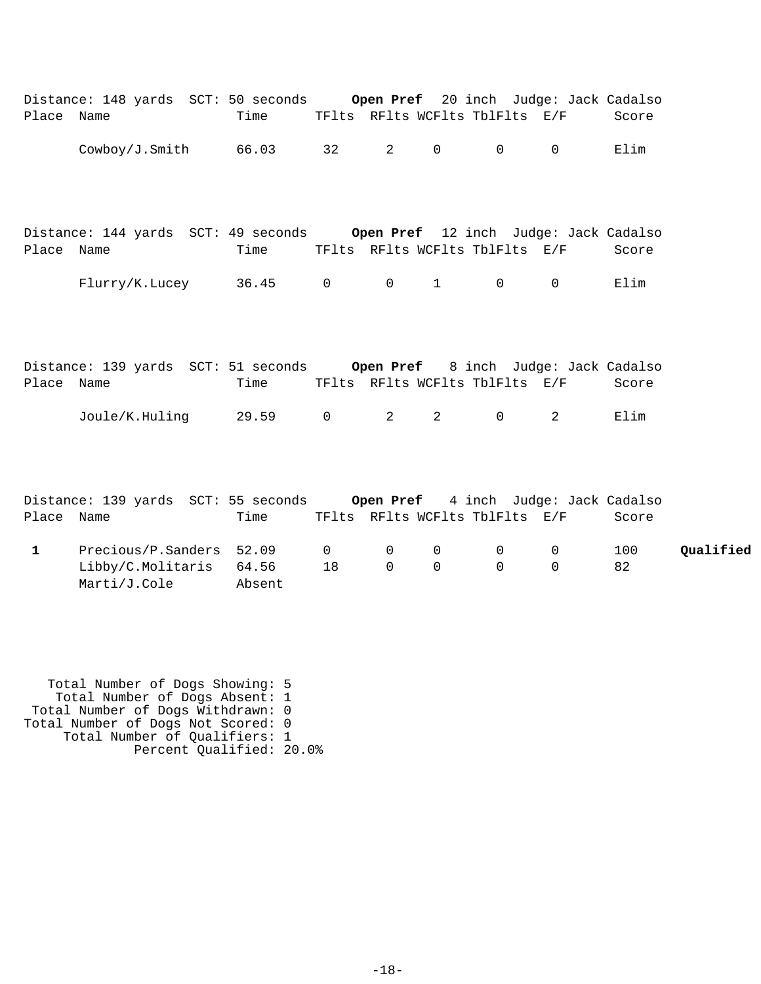| Place Name   | Distance: 148 yards SCT: 50 seconds Open Pref 20 inch Judge: Jack Cadalso | Time   |                         |                             |                                | TFlts RFlts WCFlts TblFlts E/F          |                                | Score     |           |
|--------------|---------------------------------------------------------------------------|--------|-------------------------|-----------------------------|--------------------------------|-----------------------------------------|--------------------------------|-----------|-----------|
|              | $\text{Cowboy}/\text{J.Smith}$ 66.03 32                                   |        |                         |                             | $2 \qquad \qquad 0$            | $\overline{0}$                          | $\Omega$                       | Elim      |           |
| Place Name   | Distance: 144 yards SCT: 49 seconds Open Pref 12 inch Judge: Jack Cadalso | Time   |                         |                             |                                | TFlts RFlts WCFlts TblFlts E/F          |                                | Score     |           |
|              | Flurry/K.Lucey 36.45 0                                                    |        |                         |                             |                                | $\begin{matrix} 0 & 1 & 0 \end{matrix}$ | $\overline{0}$                 | Elim      |           |
|              |                                                                           |        |                         |                             |                                |                                         |                                |           |           |
| Place Name   | Distance: 139 yards SCT: 51 seconds Open Pref 8 inch Judge: Jack Cadalso  | Time   |                         |                             |                                | TFlts RFlts WCFlts TblFlts E/F          |                                | Score     |           |
|              | Joule/K.Huling 29.59 0 2                                                  |        |                         |                             | $2 \left( \frac{1}{2} \right)$ | $\overline{0}$                          | $\overline{2}$                 | Elim      |           |
|              |                                                                           |        |                         |                             |                                |                                         |                                |           |           |
| Place Name   | Distance: 139 yards SCT: 55 seconds Open Pref 4 inch Judge: Jack Cadalso  | Time   |                         |                             |                                | TFlts RFlts WCFlts TblFlts E/F          |                                | Score     |           |
| $\mathbf{1}$ | Precious/P.Sanders 52.09<br>Libby/C.Molitaris 64.56<br>Marti/J.Cole       | Absent | $0 \qquad \qquad$<br>18 | $\mathbf 0$<br>$\mathsf{O}$ | 0<br>$\Omega$                  | $\overline{0}$<br>$\Omega$              | $\overline{0}$<br>$\mathsf{O}$ | 100<br>82 | Qualified |

 Total Number of Dogs Showing: 5 Total Number of Dogs Absent: 1 Total Number of Dogs Withdrawn: 0 Total Number of Dogs Not Scored: 0 Total Number of Qualifiers: 1 Percent Qualified: 20.0%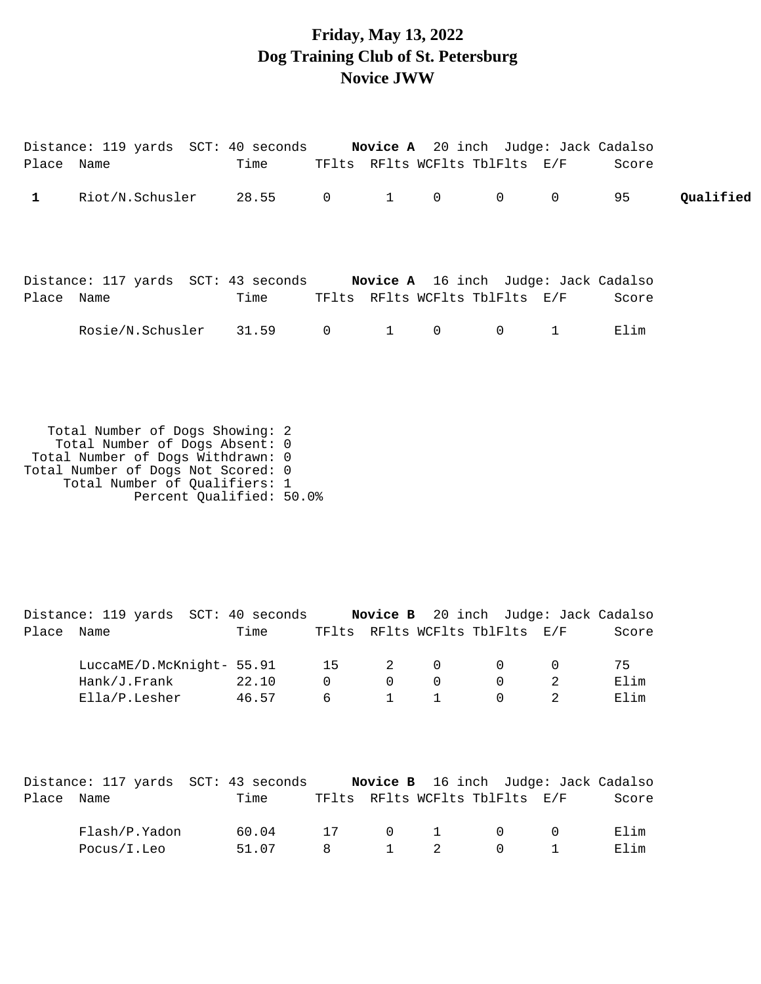## **Friday, May 13, 2022 Dog Training Club of St. Petersburg Novice JWW**

|              |                                                                     |  |                          | Distance: 119 yards SCT: 40 seconds Novice A 20 inch Judge: Jack Cadalso |                    |                                              |        |       |           |
|--------------|---------------------------------------------------------------------|--|--------------------------|--------------------------------------------------------------------------|--------------------|----------------------------------------------|--------|-------|-----------|
| Place Name   |                                                                     |  |                          | Time TFlts RFlts WCFlts TblFlts E/F                                      |                    |                                              |        | Score |           |
| $\mathbf{1}$ |                                                                     |  |                          | Riot/N.Schusler 28.55 0 1                                                | $0\qquad \qquad 0$ |                                              | $0$ 95 |       | Qualified |
|              |                                                                     |  |                          | Distance: 117 yards SCT: 43 seconds Novice A 16 inch Judge: Jack Cadalso |                    |                                              |        |       |           |
| Place Name   |                                                                     |  | Time                     | TFlts RFlts WCFlts TblFlts E/F<br>1                                      |                    | $\begin{array}{ccc} & & 0 & & 1 \end{array}$ |        | Score |           |
|              |                                                                     |  | Rosie/N.Schusler 31.59 0 |                                                                          | $\overline{0}$     |                                              |        | Elim  |           |
|              |                                                                     |  |                          |                                                                          |                    |                                              |        |       |           |
|              |                                                                     |  |                          |                                                                          |                    |                                              |        |       |           |
|              | Total Number of Dogs Showing: 2                                     |  |                          |                                                                          |                    |                                              |        |       |           |
|              | Total Number of Dogs Absent: 0<br>Total Number of Dogs Withdrawn: 0 |  |                          |                                                                          |                    |                                              |        |       |           |
|              | Total Number of Dogs Not Scored: 0                                  |  |                          |                                                                          |                    |                                              |        |       |           |
|              | Total Number of Qualifiers: 1                                       |  |                          |                                                                          |                    |                                              |        |       |           |

Percent Qualified: 50.0%

Distance: 119 yards SCT: 40 seconds **Novice B** 20 inch Judge: Jack Cadalso Place Name Time TFlts RFlts WCFlts TblFlts E/F Score LuccaME/D.McKnight- 55.91 15 2 0 0 0 75 Hank/J.Frank 22.10 0 0 0 0 2 Elim Ella/P.Lesher 46.57 6 1 1 0 2 Elim

|            | Distance: 117 yards SCT: 43 seconds |       |                |             | <b>Novice B</b> 16 inch Judge: Jack Cadalso |       |
|------------|-------------------------------------|-------|----------------|-------------|---------------------------------------------|-------|
| Place Name |                                     | Time  |                |             | TFlts RFlts WCFlts TblFlts E/F              | Score |
|            | Flash/P.Yadon                       | 60.04 | 17             |             | $\begin{matrix} 0 & 1 & 0 & 0 \end{matrix}$ | Elim  |
|            | Pocus/I.Leo                         | 51.07 | $\overline{R}$ | $1 \quad 2$ | $\begin{array}{ccc} 0 & 1 \end{array}$      | 田]im  |